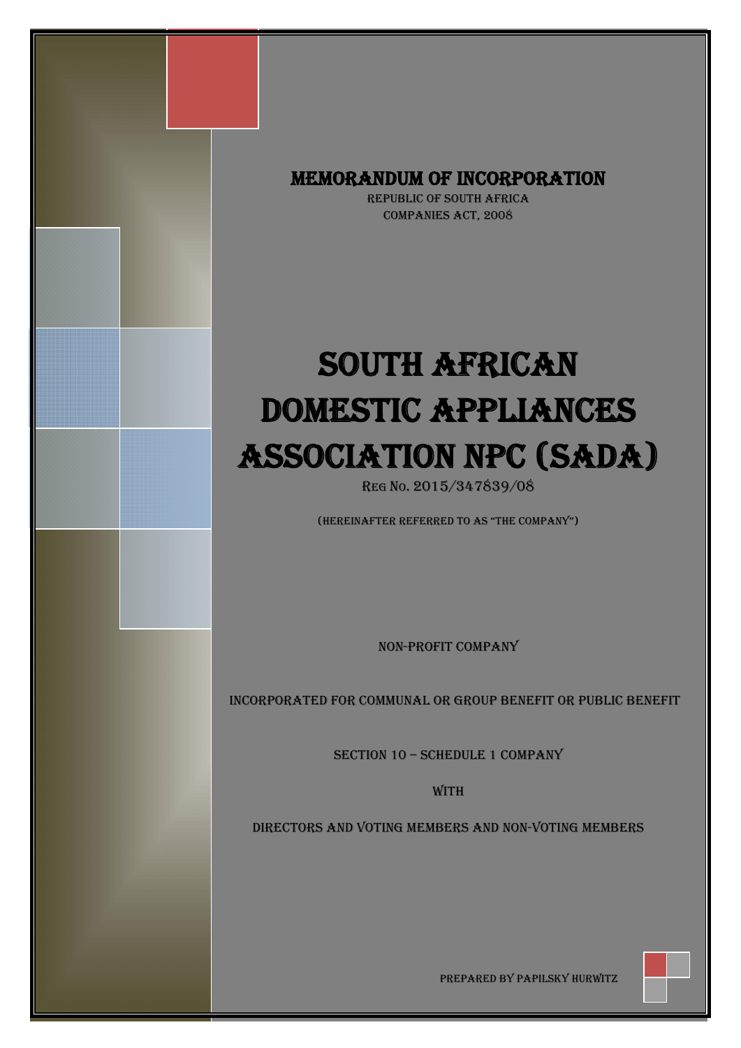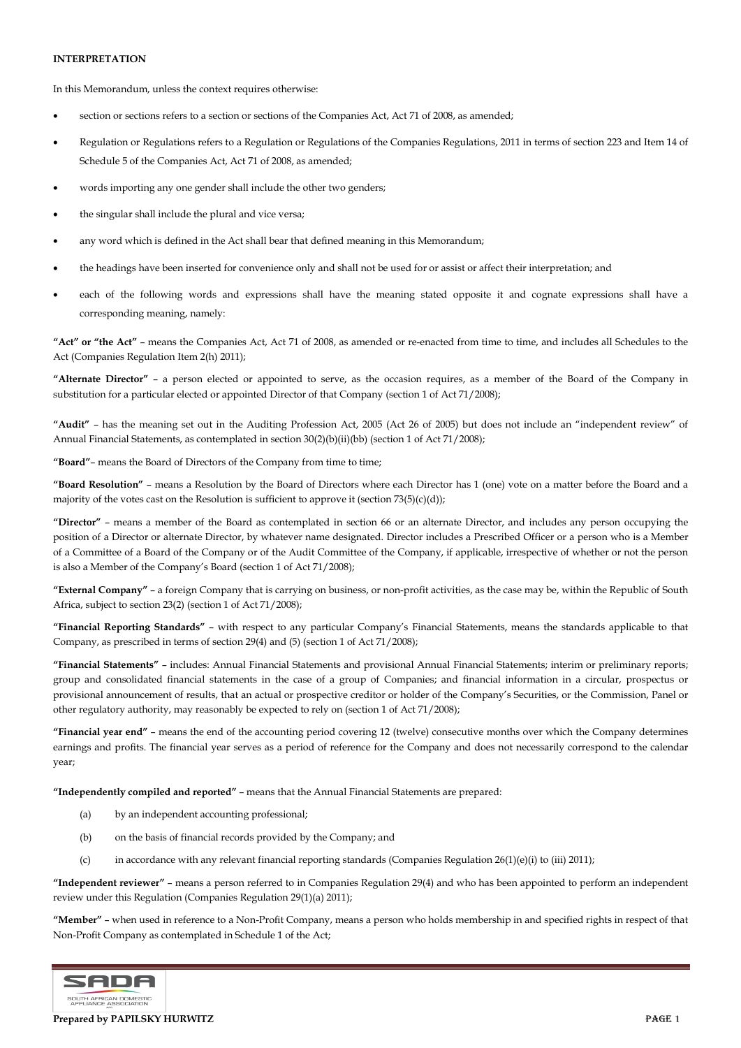### INTERPRETATION

In this Memorandum, unless the context requires otherwise:

- section or sections refers to a section or sections of the Companies Act, Act 71 of 2008, as amended;
- Regulation or Regulations refers to a Regulation or Regulations of the Companies Regulations, 2011 in terms of section 223 and Item 14 of Schedule 5 of the Companies Act, Act 71 of 2008, as amended;
- words importing any one gender shall include the other two genders;
- the singular shall include the plural and vice versa;
- any word which is defined in the Act shall bear that defined meaning in this Memorandum;
- the headings have been inserted for convenience only and shall not be used for or assist or affect their interpretation; and
- each of the following words and expressions shall have the meaning stated opposite it and cognate expressions shall have a corresponding meaning, namely:

"Act" or "the Act" - means the Companies Act, Act 71 of 2008, as amended or re-enacted from time to time, and includes all Schedules to the Act (Companies Regulation Item 2(h) 2011);

"Alternate Director" – a person elected or appointed to serve, as the occasion requires, as a member of the Board of the Company in substitution for a particular elected or appointed Director of that Company (section 1 of Act 71/2008);

"Audit" – has the meaning set out in the Auditing Profession Act, 2005 (Act 26 of 2005) but does not include an "independent review" of Annual Financial Statements, as contemplated in section 30(2)(b)(ii)(bb) (section 1 of Act 71/2008);

"Board"– means the Board of Directors of the Company from time to time;

"Board Resolution" - means a Resolution by the Board of Directors where each Director has 1 (one) vote on a matter before the Board and a majority of the votes cast on the Resolution is sufficient to approve it (section  $73(5)(c)(d)$ );

"Director" - means a member of the Board as contemplated in section 66 or an alternate Director, and includes any person occupying the position of a Director or alternate Director, by whatever name designated. Director includes a Prescribed Officer or a person who is a Member of a Committee of a Board of the Company or of the Audit Committee of the Company, if applicable, irrespective of whether or not the person is also a Member of the Company's Board (section 1 of Act 71/2008);

"External Company" – a foreign Company that is carrying on business, or non-profit activities, as the case may be, within the Republic of South Africa, subject to section 23(2) (section 1 of Act 71/2008);

"Financial Reporting Standards" – with respect to any particular Company's Financial Statements, means the standards applicable to that Company, as prescribed in terms of section 29(4) and (5) (section 1 of Act 71/2008);

"Financial Statements" – includes: Annual Financial Statements and provisional Annual Financial Statements; interim or preliminary reports; group and consolidated financial statements in the case of a group of Companies; and financial information in a circular, prospectus or provisional announcement of results, that an actual or prospective creditor or holder of the Company's Securities, or the Commission, Panel or other regulatory authority, may reasonably be expected to rely on (section 1 of Act 71/2008);

"Financial year end" – means the end of the accounting period covering 12 (twelve) consecutive months over which the Company determines earnings and profits. The financial year serves as a period of reference for the Company and does not necessarily correspond to the calendar year;

"Independently compiled and reported" – means that the Annual Financial Statements are prepared:

- (a) by an independent accounting professional;
- (b) on the basis of financial records provided by the Company; and
- (c) in accordance with any relevant financial reporting standards (Companies Regulation 26(1)(e)(i) to (iii) 2011);

"Independent reviewer" – means a person referred to in Companies Regulation 29(4) and who has been appointed to perform an independent review under this Regulation (Companies Regulation 29(1)(a) 2011);

"Member" - when used in reference to a Non-Profit Company, means a person who holds membership in and specified rights in respect of that Non-Profit Company as contemplated in Schedule 1 of the Act;

![](_page_1_Picture_25.jpeg)

Prepared by PAPILSKY HURWITZ PAGE 1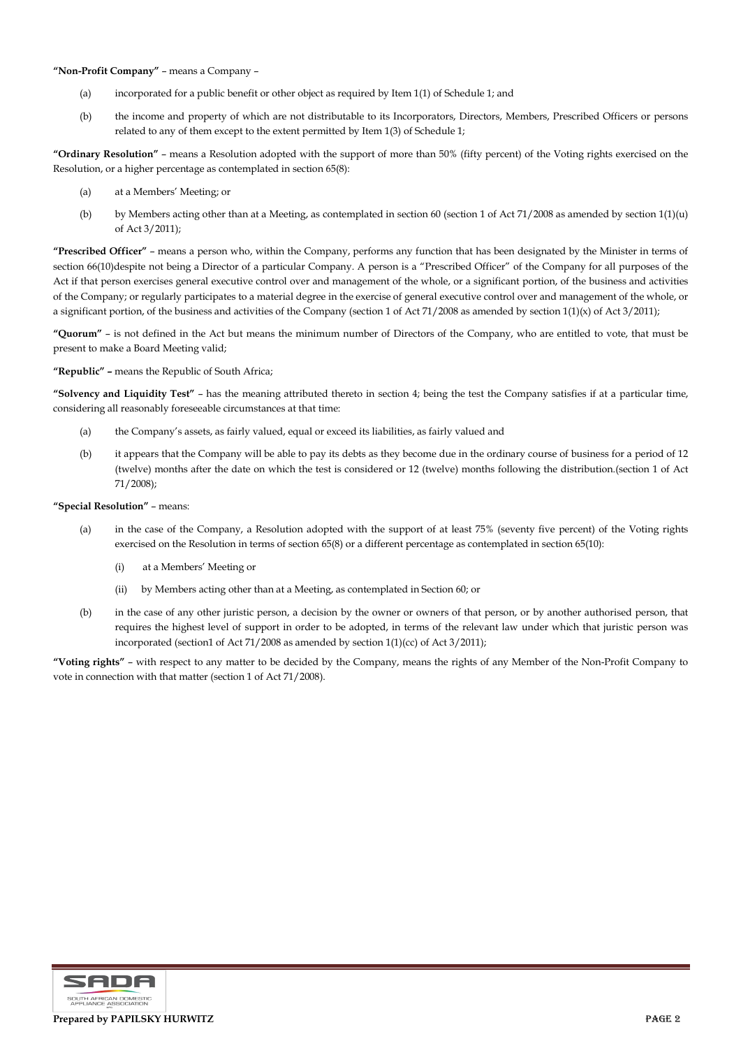"Non-Profit Company" – means a Company –

- (a) incorporated for a public benefit or other object as required by Item 1(1) of Schedule 1; and
- (b) the income and property of which are not distributable to its Incorporators, Directors, Members, Prescribed Officers or persons related to any of them except to the extent permitted by Item 1(3) of Schedule 1;

"Ordinary Resolution" - means a Resolution adopted with the support of more than 50% (fifty percent) of the Voting rights exercised on the Resolution, or a higher percentage as contemplated in section 65(8):

- (a) at a Members' Meeting; or
- (b) by Members acting other than at a Meeting, as contemplated in section 60 (section 1 of Act 71/2008 as amended by section 1(1)(u) of Act 3/2011);

"Prescribed Officer" – means a person who, within the Company, performs any function that has been designated by the Minister in terms of section 66(10)despite not being a Director of a particular Company. A person is a "Prescribed Officer" of the Company for all purposes of the Act if that person exercises general executive control over and management of the whole, or a significant portion, of the business and activities of the Company; or regularly participates to a material degree in the exercise of general executive control over and management of the whole, or a significant portion, of the business and activities of the Company (section 1 of Act 71/2008 as amended by section 1(1)(x) of Act 3/2011);

"Quorum" - is not defined in the Act but means the minimum number of Directors of the Company, who are entitled to vote, that must be present to make a Board Meeting valid;

"Republic" – means the Republic of South Africa;

"Solvency and Liquidity Test" – has the meaning attributed thereto in section 4; being the test the Company satisfies if at a particular time, considering all reasonably foreseeable circumstances at that time:

- (a) the Company's assets, as fairly valued, equal or exceed its liabilities, as fairly valued and
- (b) it appears that the Company will be able to pay its debts as they become due in the ordinary course of business for a period of 12 (twelve) months after the date on which the test is considered or 12 (twelve) months following the distribution.(section 1 of Act 71/2008);

"Special Resolution" – means:

- (a) in the case of the Company, a Resolution adopted with the support of at least 75% (seventy five percent) of the Voting rights exercised on the Resolution in terms of section 65(8) or a different percentage as contemplated in section 65(10):
	- (i) at a Members' Meeting or
	- (ii) by Members acting other than at a Meeting, as contemplated in Section 60; or
- (b) in the case of any other juristic person, a decision by the owner or owners of that person, or by another authorised person, that requires the highest level of support in order to be adopted, in terms of the relevant law under which that juristic person was incorporated (section1 of Act 71/2008 as amended by section 1(1)(cc) of Act 3/2011);

"Voting rights" – with respect to any matter to be decided by the Company, means the rights of any Member of the Non-Profit Company to vote in connection with that matter (section 1 of Act 71/2008).

![](_page_2_Picture_18.jpeg)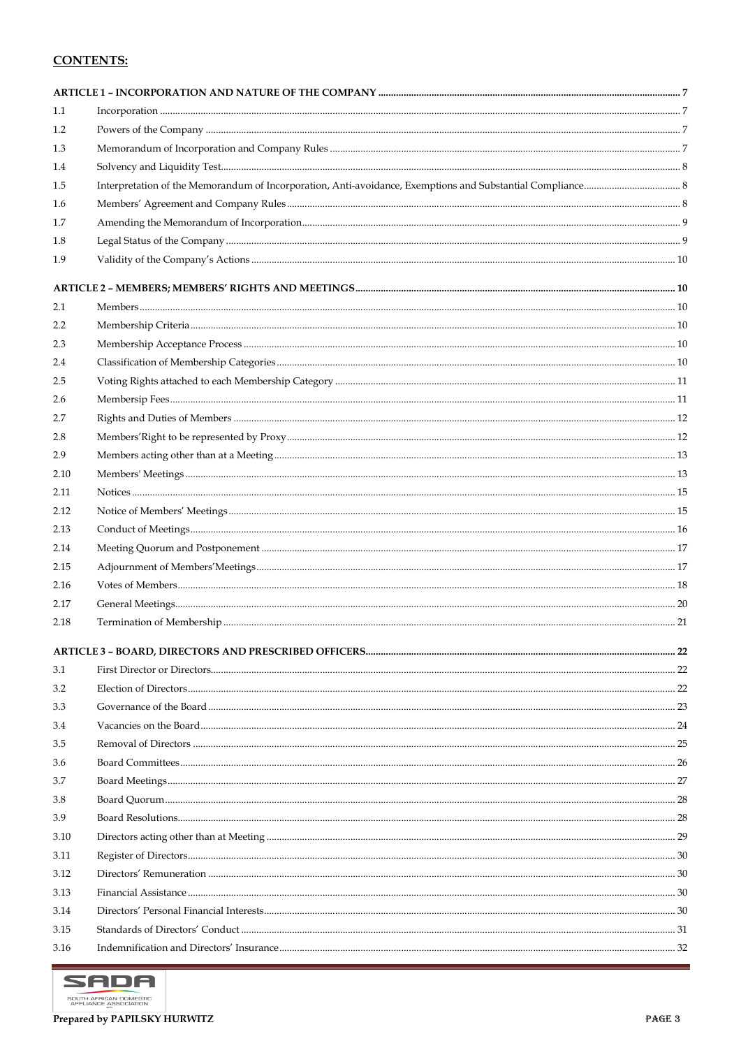# **CONTENTS:**

| $1.1\,$ |  |
|---------|--|
| 1.2     |  |
| 1.3     |  |
| 1.4     |  |
| 1.5     |  |
| 1.6     |  |
| 1.7     |  |
| 1.8     |  |
| 1.9     |  |
|         |  |
| 2.1     |  |
| 2.2     |  |
| 2.3     |  |
| 2.4     |  |
| 2.5     |  |
| 2.6     |  |
| 2.7     |  |
| 2.8     |  |
| 2.9     |  |
| 2.10    |  |
| 2.11    |  |
| 2.12    |  |
| 2.13    |  |
| 2.14    |  |
| 2.15    |  |
| 2.16    |  |
| 2.17    |  |
| 2.18    |  |
|         |  |
| 3.1     |  |
| 3.2     |  |
| 3.3     |  |
| 3.4     |  |
| 3.5     |  |
| 3.6     |  |
| 3.7     |  |
| 3.8     |  |
| 3.9     |  |
| 3.10    |  |
| 3.11    |  |
| 3.12    |  |
| 3.13    |  |
| 3.14    |  |
| 3.15    |  |
| 3.16    |  |

![](_page_3_Picture_2.jpeg)

Prepared by PAPILSKY HURWITZ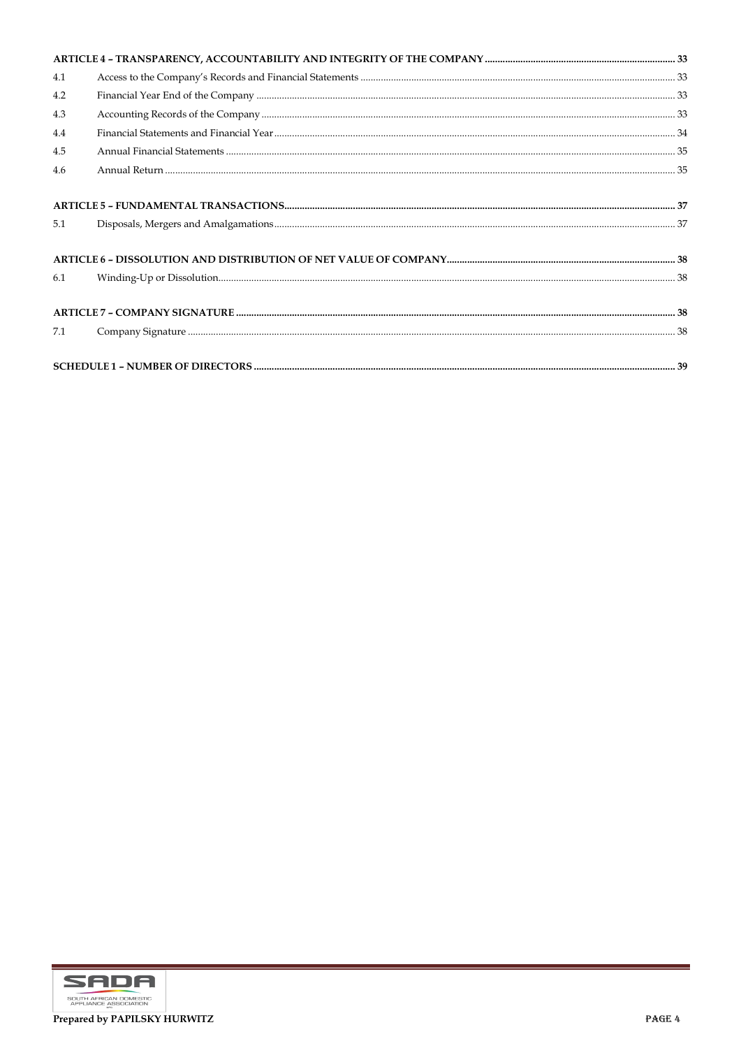| 4.1 |  |
|-----|--|
| 4.2 |  |
| 4.3 |  |
| 4.4 |  |
| 4.5 |  |
| 4.6 |  |
|     |  |
| 5.1 |  |
|     |  |
| 6.1 |  |
|     |  |
| 7.1 |  |
|     |  |

![](_page_4_Picture_1.jpeg)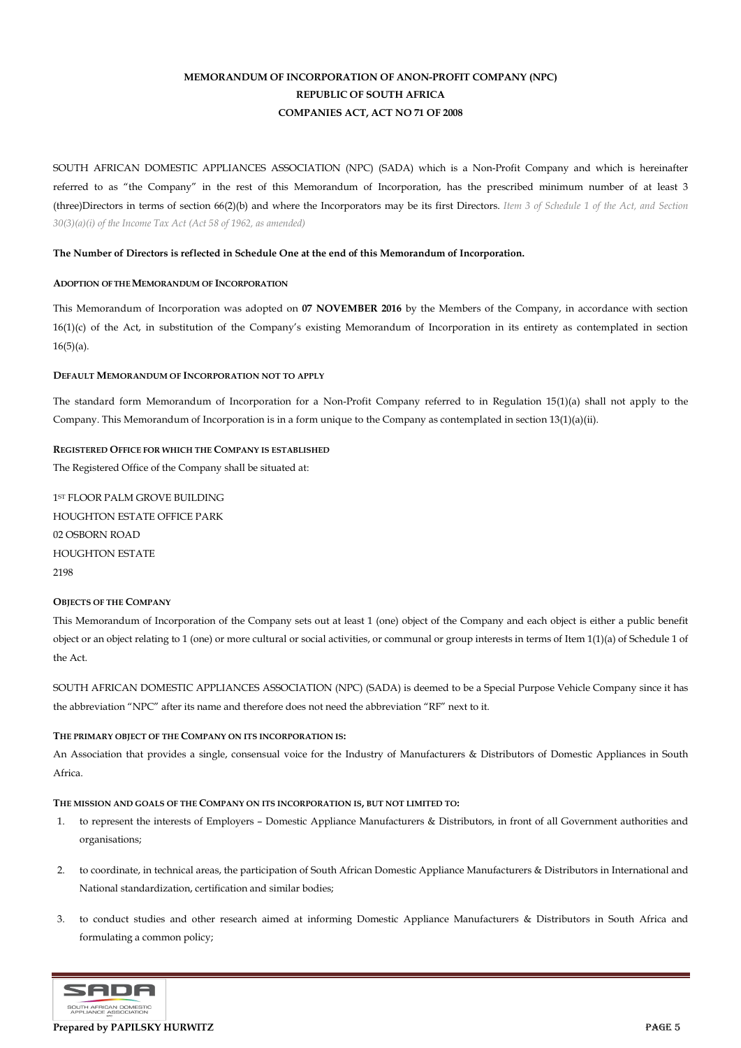# MEMORANDUM OF INCORPORATION OF ANON-PROFIT COMPANY (NPC) REPUBLIC OF SOUTH AFRICA COMPANIES ACT, ACT NO 71 OF 2008

SOUTH AFRICAN DOMESTIC APPLIANCES ASSOCIATION (NPC) (SADA) which is a Non-Profit Company and which is hereinafter referred to as "the Company" in the rest of this Memorandum of Incorporation, has the prescribed minimum number of at least 3 (three)Directors in terms of section 66(2)(b) and where the Incorporators may be its first Directors. *Item 3 of Schedule 1 of the Act, and Section 30(3)(a)(i) of the Income Tax Act (Act 58 of 1962, as amended)*

### The Number of Directors is reflected in Schedule One at the end of this Memorandum of Incorporation.

### ADOPTION OFTHE MEMORANDUM OF INCORPORATION

This Memorandum of Incorporation was adopted on 07 NOVEMBER 2016 by the Members of the Company, in accordance with section 16(1)(c) of the Act, in substitution of the Company's existing Memorandum of Incorporation in its entirety as contemplated in section  $16(5)(a)$ .

### DEFAULT MEMORANDUM OF INCORPORATION NOT TO APPLY

The standard form Memorandum of Incorporation for a Non-Profit Company referred to in Regulation 15(1)(a) shall not apply to the Company. This Memorandum of Incorporation is in a form unique to the Company as contemplated in section 13(1)(a)(ii).

REGISTERED OFFICE FOR WHICH THE COMPANY IS ESTABLISHED The Registered Office of the Company shall be situated at:

1<sup>ST</sup> FLOOR PALM GROVE BUILDING HOUGHTON ESTATE OFFICE PARK 02 OSBORN ROAD HOUGHTON ESTATE 2198

#### OBJECTS OF THE COMPANY

This Memorandum of Incorporation of the Company sets out at least 1 (one) object of the Company and each object is either a public benefit object or an object relating to 1 (one) or more cultural or social activities, or communal or group interests in terms of Item 1(1)(a) of Schedule 1 of the Act.

SOUTH AFRICAN DOMESTIC APPLIANCES ASSOCIATION (NPC) (SADA) is deemed to be a Special Purpose Vehicle Company since it has the abbreviation "NPC" after its name and therefore does not need the abbreviation "RF" next to it.

#### THE PRIMARY OBJECT OF THE COMPANY ON ITS INCORPORATION IS:

An Association that provides a single, consensual voice for the Industry of Manufacturers & Distributors of Domestic Appliances in South Africa.

#### THE MISSION AND GOALS OF THE COMPANY ON ITS INCORPORATION IS, BUT NOT LIMITED TO:

- 1. to represent the interests of Employers Domestic Appliance Manufacturers & Distributors, in front of all Government authorities and organisations;
- 2. to coordinate, in technical areas, the participation of South African Domestic Appliance Manufacturers & Distributors in International and National standardization, certification and similar bodies;
- 3. to conduct studies and other research aimed at informing Domestic Appliance Manufacturers & Distributors in South Africa and formulating a common policy;

![](_page_5_Picture_18.jpeg)

Prepared by PAPILSKY HURWITZ **PAGE 5**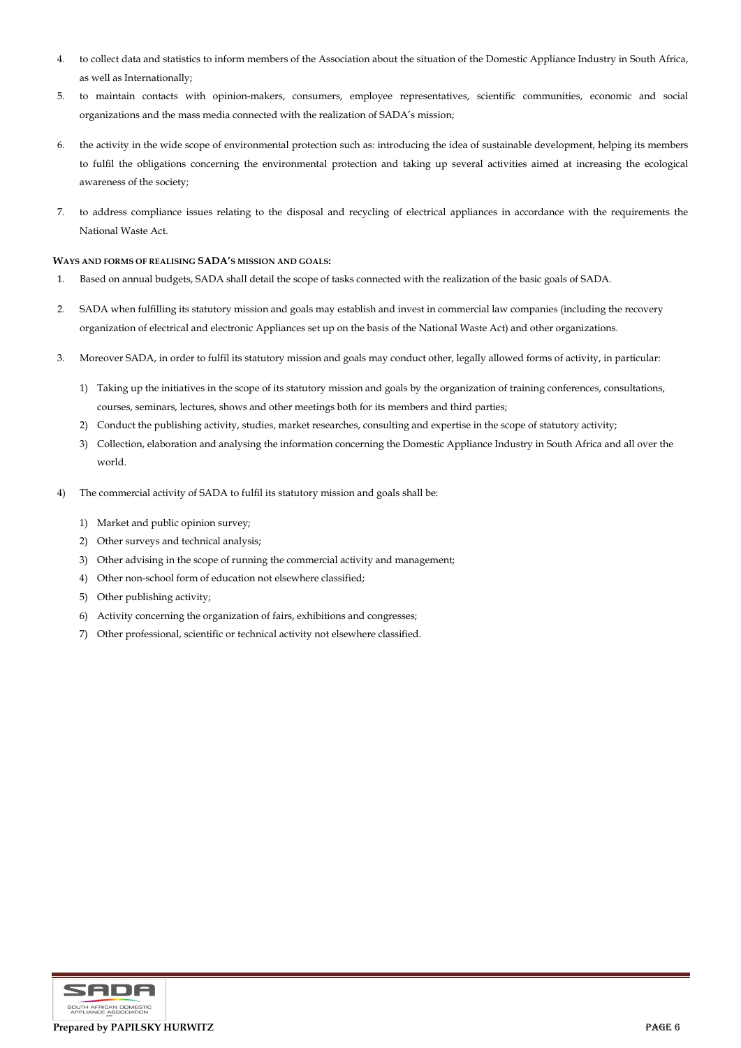- 4. to collect data and statistics to inform members of the Association about the situation of the Domestic Appliance Industry in South Africa, as well as Internationally;
- 5. to maintain contacts with opinion-makers, consumers, employee representatives, scientific communities, economic and social organizations and the mass media connected with the realization of SADA's mission;
- 6. the activity in the wide scope of environmental protection such as: introducing the idea of sustainable development, helping its members to fulfil the obligations concerning the environmental protection and taking up several activities aimed at increasing the ecological awareness of the society;
- 7. to address compliance issues relating to the disposal and recycling of electrical appliances in accordance with the requirements the National Waste Act.

### WAYS AND FORMS OF REALISING SADA'S MISSION AND GOALS:

- 1. Based on annual budgets, SADA shall detail the scope of tasks connected with the realization of the basic goals of SADA.
- 2. SADA when fulfilling its statutory mission and goals may establish and invest in commercial law companies (including the recovery organization of electrical and electronic Appliances set up on the basis of the National Waste Act) and other organizations.
- 3. Moreover SADA, in order to fulfil its statutory mission and goals may conduct other, legally allowed forms of activity, in particular:
	- 1) Taking up the initiatives in the scope of its statutory mission and goals by the organization of training conferences, consultations, courses, seminars, lectures, shows and other meetings both for its members and third parties;
	- 2) Conduct the publishing activity, studies, market researches, consulting and expertise in the scope of statutory activity;
	- 3) Collection, elaboration and analysing the information concerning the Domestic Appliance Industry in South Africa and all over the world.
- 4) The commercial activity of SADA to fulfil its statutory mission and goals shall be:
	- 1) Market and public opinion survey;
	- 2) Other surveys and technical analysis;
	- 3) Other advising in the scope of running the commercial activity and management;
	- 4) Other non-school form of education not elsewhere classified;
	- 5) Other publishing activity;
	- 6) Activity concerning the organization of fairs, exhibitions and congresses;
	- 7) Other professional, scientific or technical activity not elsewhere classified.

![](_page_6_Picture_19.jpeg)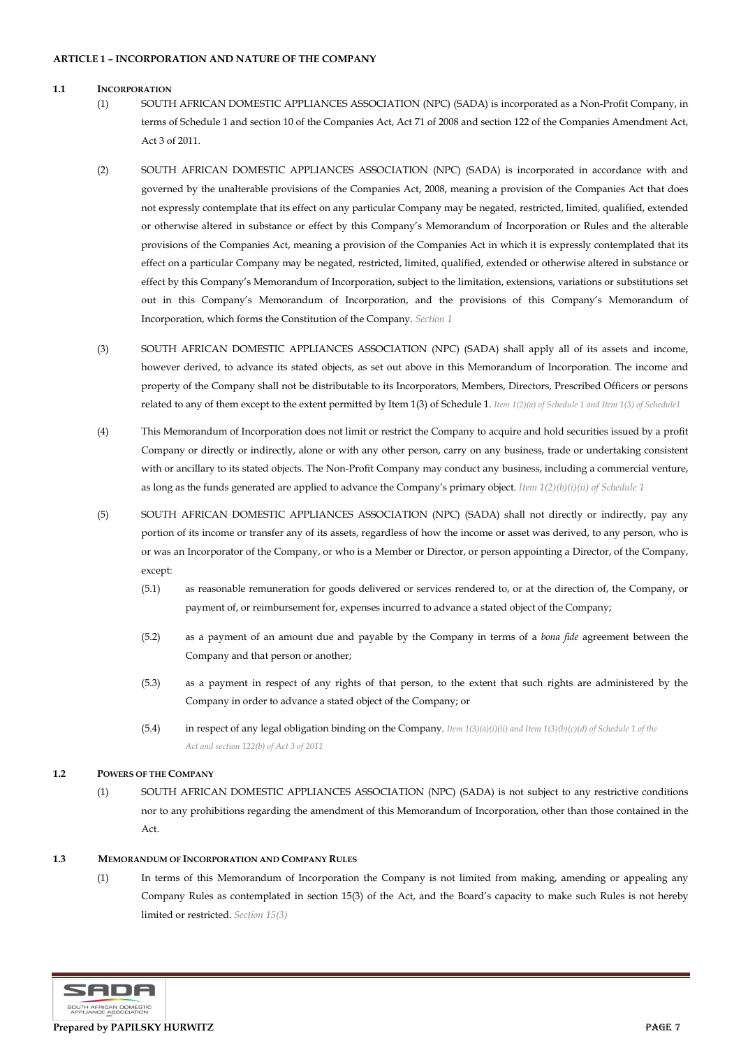### ARTICLE 1 – INCORPORATION AND NATURE OF THE COMPANY

#### 1.1 **INCORPORATION**

- (1) SOUTH AFRICAN DOMESTIC APPLIANCES ASSOCIATION (NPC) (SADA) is incorporated as a Non-Profit Company, in terms of Schedule 1 and section 10 of the Companies Act, Act 71 of 2008 and section 122 of the Companies Amendment Act, Act 3 of 2011.
- (2) SOUTH AFRICAN DOMESTIC APPLIANCES ASSOCIATION (NPC) (SADA) is incorporated in accordance with and governed by the unalterable provisions of the Companies Act, 2008, meaning a provision of the Companies Act that does not expressly contemplate that its effect on any particular Company may be negated, restricted, limited, qualified, extended or otherwise altered in substance or effect by this Company's Memorandum of Incorporation or Rules and the alterable provisions of the Companies Act, meaning a provision of the Companies Act in which it is expressly contemplated that its effect on a particular Company may be negated, restricted, limited, qualified, extended or otherwise altered in substance or effect by this Company's Memorandum of Incorporation, subject to the limitation, extensions, variations or substitutions set out in this Company's Memorandum of Incorporation, and the provisions of this Company's Memorandum of Incorporation, which forms the Constitution of the Company. *Section 1*
- (3) SOUTH AFRICAN DOMESTIC APPLIANCES ASSOCIATION (NPC) (SADA) shall apply all of its assets and income, however derived, to advance its stated objects, as set out above in this Memorandum of Incorporation. The income and property of the Company shall not be distributable to its Incorporators, Members, Directors, Prescribed Officers or persons related to any of them except to the extent permitted by Item 1(3) of Schedule 1. *Item 1(2)(a) of Schedule 1 and Item 1(3) of Schedule1*
- (4) This Memorandum of Incorporation does not limit or restrict the Company to acquire and hold securities issued by a profit Company or directly or indirectly, alone or with any other person, carry on any business, trade or undertaking consistent with or ancillary to its stated objects. The Non-Profit Company may conduct any business, including a commercial venture, as long as the funds generated are applied to advance the Company's primary object. *Item 1(2)(b)(i)(ii) of Schedule 1*
- (5) SOUTH AFRICAN DOMESTIC APPLIANCES ASSOCIATION (NPC) (SADA) shall not directly or indirectly, pay any portion of its income or transfer any of its assets, regardless of how the income or asset was derived, to any person, who is or was an Incorporator of the Company, or who is a Member or Director, or person appointing a Director, of the Company, except:
	- (5.1) as reasonable remuneration for goods delivered or services rendered to, or at the direction of, the Company, or payment of, or reimbursement for, expenses incurred to advance a stated object of the Company;
	- (5.2) as a payment of an amount due and payable by the Company in terms of a *bona fide* agreement between the Company and that person or another;
	- (5.3) as a payment in respect of any rights of that person, to the extent that such rights are administered by the Company in order to advance a stated object of the Company; or
	- (5.4) in respect of any legal obligation binding on the Company. *Item 1(3)(a)(i)(ii) and Item 1(3)(b)(c)(d) of Schedule 1 of the Act and section 122(b) of Act 3 of 2011*

# 1.2 POWERS OF THE COMPANY

(1) SOUTH AFRICAN DOMESTIC APPLIANCES ASSOCIATION (NPC) (SADA) is not subject to any restrictive conditions nor to any prohibitions regarding the amendment of this Memorandum of Incorporation, other than those contained in the Act.

#### 1.3 MEMORANDUM OF INCORPORATION AND COMPANY RULES

(1) In terms of this Memorandum of Incorporation the Company is not limited from making, amending or appealing any Company Rules as contemplated in section 15(3) of the Act, and the Board's capacity to make such Rules is not hereby limited or restricted. *Section 15(3)*

![](_page_7_Picture_15.jpeg)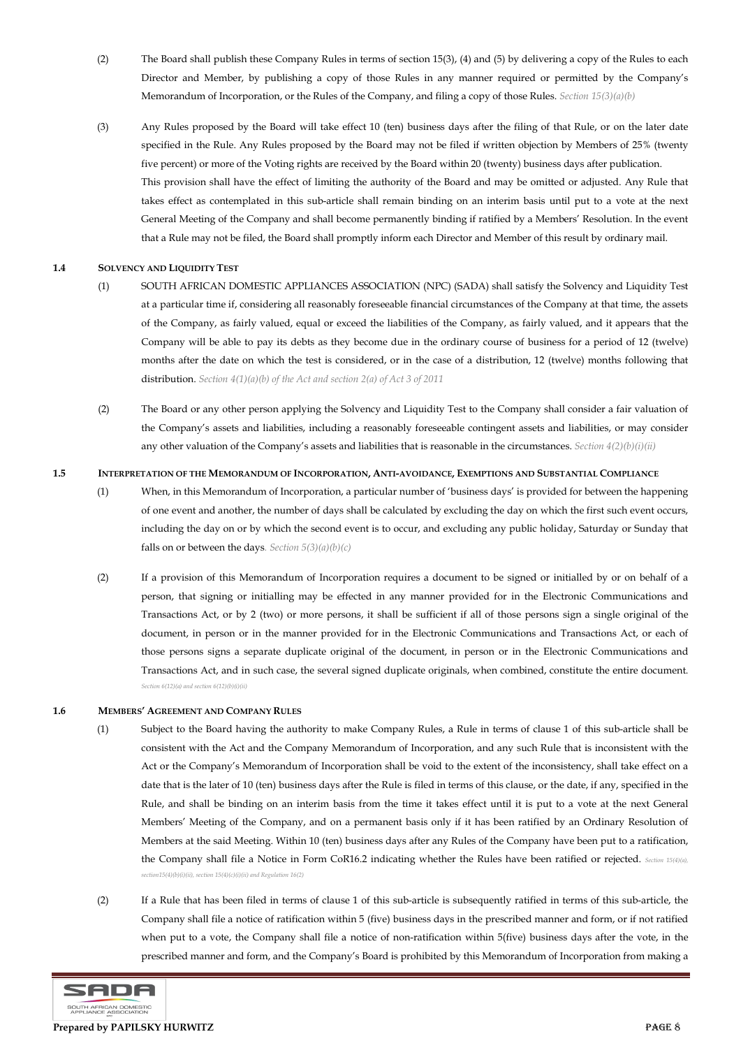- (2) The Board shall publish these Company Rules in terms of section 15(3), (4) and (5) by delivering a copy of the Rules to each Director and Member, by publishing a copy of those Rules in any manner required or permitted by the Company's Memorandum of Incorporation, or the Rules of the Company, and filing a copy of those Rules. *Section 15(3)(a)(b)*
- (3) Any Rules proposed by the Board will take effect 10 (ten) business days after the filing of that Rule, or on the later date specified in the Rule. Any Rules proposed by the Board may not be filed if written objection by Members of 25% (twenty five percent) or more of the Voting rights are received by the Board within 20 (twenty) business days after publication. This provision shall have the effect of limiting the authority of the Board and may be omitted or adjusted. Any Rule that takes effect as contemplated in this sub-article shall remain binding on an interim basis until put to a vote at the next General Meeting of the Company and shall become permanently binding if ratified by a Members' Resolution. In the event that a Rule may not be filed, the Board shall promptly inform each Director and Member of this result by ordinary mail.

### 1.4 SOLVENCY AND LIQUIDITY TEST

- (1) SOUTH AFRICAN DOMESTIC APPLIANCES ASSOCIATION (NPC) (SADA) shall satisfy the Solvency and Liquidity Test at a particular time if, considering all reasonably foreseeable financial circumstances of the Company at that time, the assets of the Company, as fairly valued, equal or exceed the liabilities of the Company, as fairly valued, and it appears that the Company will be able to pay its debts as they become due in the ordinary course of business for a period of 12 (twelve) months after the date on which the test is considered, or in the case of a distribution, 12 (twelve) months following that distribution. *Section 4(1)(a)(b) of the Act and section 2(a) of Act 3 of 2011*
- (2) The Board or any other person applying the Solvency and Liquidity Test to the Company shall consider a fair valuation of the Company's assets and liabilities, including a reasonably foreseeable contingent assets and liabilities, or may consider any other valuation of the Company's assets and liabilities that is reasonable in the circumstances. *Section 4(2)(b)(i)(ii)*

# 1.5 INTERPRETATION OF THE MEMORANDUM OF INCORPORATION, ANTI-AVOIDANCE, EXEMPTIONS AND SUBSTANTIAL COMPLIANCE

- (1) When, in this Memorandum of Incorporation, a particular number of 'business days' is provided for between the happening of one event and another, the number of days shall be calculated by excluding the day on which the first such event occurs, including the day on or by which the second event is to occur, and excluding any public holiday, Saturday or Sunday that falls on or between the days*. Section 5(3)(a)(b)(c)*
- (2) If a provision of this Memorandum of Incorporation requires a document to be signed or initialled by or on behalf of a person, that signing or initialling may be effected in any manner provided for in the Electronic Communications and Transactions Act, or by 2 (two) or more persons, it shall be sufficient if all of those persons sign a single original of the document, in person or in the manner provided for in the Electronic Communications and Transactions Act, or each of those persons signs a separate duplicate original of the document, in person or in the Electronic Communications and Transactions Act, and in such case, the several signed duplicate originals, when combined, constitute the entire document. *Section 6(12)(a) and section 6(12)(b)(i)(ii)*

#### 1.6 MEMBERS' AGREEMENT AND COMPANY RULES

- (1) Subject to the Board having the authority to make Company Rules, a Rule in terms of clause 1 of this sub-article shall be consistent with the Act and the Company Memorandum of Incorporation, and any such Rule that is inconsistent with the Act or the Company's Memorandum of Incorporation shall be void to the extent of the inconsistency, shall take effect on a date that is the later of 10 (ten) business days after the Rule is filed in terms of this clause, or the date, if any, specified in the Rule, and shall be binding on an interim basis from the time it takes effect until it is put to a vote at the next General Members' Meeting of the Company, and on a permanent basis only if it has been ratified by an Ordinary Resolution of Members at the said Meeting. Within 10 (ten) business days after any Rules of the Company have been put to a ratification, the Company shall file a Notice in Form CoR16.2 indicating whether the Rules have been ratified or rejected. *Section 15(4)(a), section15(4)(b)(i)(ii), section 15(4)(c)(i)(ii) and Regulation 16(2)*
- (2) If a Rule that has been filed in terms of clause 1 of this sub-article is subsequently ratified in terms of this sub-article, the Company shall file a notice of ratification within 5 (five) business days in the prescribed manner and form, or if not ratified when put to a vote, the Company shall file a notice of non-ratification within 5(five) business days after the vote, in the prescribed manner and form, and the Company's Board is prohibited by this Memorandum of Incorporation from making a

![](_page_8_Picture_11.jpeg)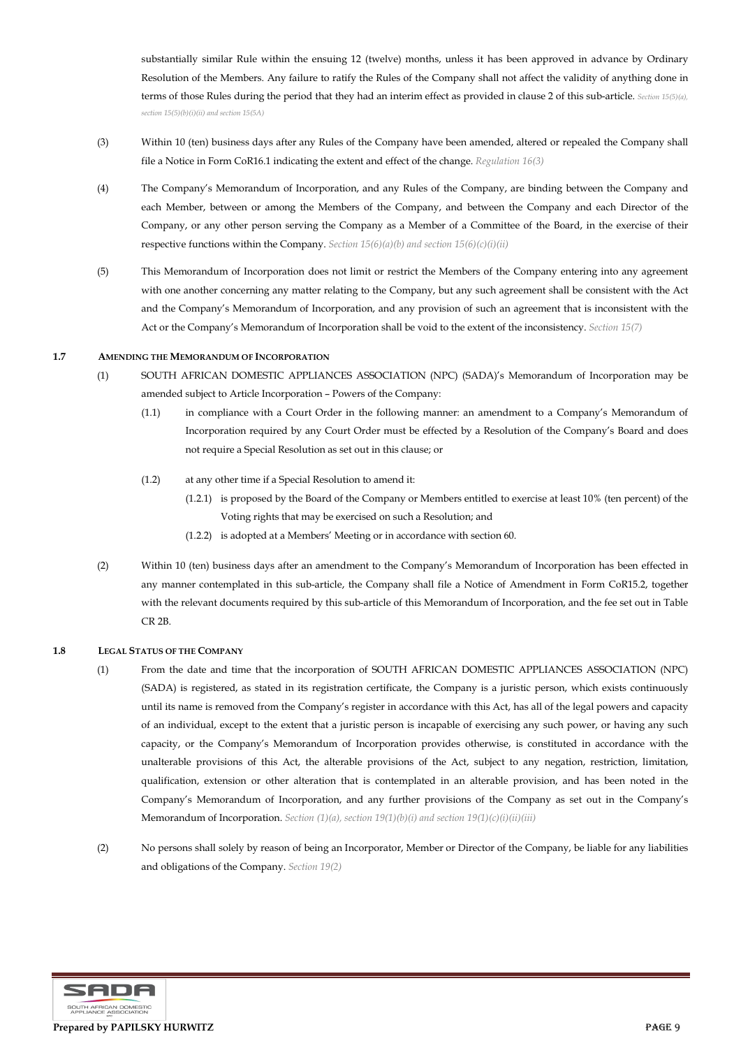substantially similar Rule within the ensuing 12 (twelve) months, unless it has been approved in advance by Ordinary Resolution of the Members. Any failure to ratify the Rules of the Company shall not affect the validity of anything done in terms of those Rules during the period that they had an interim effect as provided in clause 2 of this sub-article. *Section 15(5)(a), section 15(5)(b)(i)(ii) and section 15(5A)*

- (3) Within 10 (ten) business days after any Rules of the Company have been amended, altered or repealed the Company shall file a Notice in Form CoR16.1 indicating the extent and effect of the change. *Regulation 16(3)*
- (4) The Company's Memorandum of Incorporation, and any Rules of the Company, are binding between the Company and each Member, between or among the Members of the Company, and between the Company and each Director of the Company, or any other person serving the Company as a Member of a Committee of the Board, in the exercise of their respective functions within the Company. *Section 15(6)(a)(b) and section 15(6)(c)(i)(ii)*
- (5) This Memorandum of Incorporation does not limit or restrict the Members of the Company entering into any agreement with one another concerning any matter relating to the Company, but any such agreement shall be consistent with the Act and the Company's Memorandum of Incorporation, and any provision of such an agreement that is inconsistent with the Act or the Company's Memorandum of Incorporation shall be void to the extent of the inconsistency. *Section 15(7)*

### 1.7 AMENDING THE MEMORANDUM OF INCORPORATION

- (1) SOUTH AFRICAN DOMESTIC APPLIANCES ASSOCIATION (NPC) (SADA)'s Memorandum of Incorporation may be amended subject to Article Incorporation – Powers of the Company:
	- (1.1) in compliance with a Court Order in the following manner: an amendment to a Company's Memorandum of Incorporation required by any Court Order must be effected by a Resolution of the Company's Board and does not require a Special Resolution as set out in this clause; or
	- (1.2) at any other time if a Special Resolution to amend it:
		- (1.2.1) is proposed by the Board of the Company or Members entitled to exercise at least 10% (ten percent) of the Voting rights that may be exercised on such a Resolution; and
		- (1.2.2) is adopted at a Members' Meeting or in accordance with section 60.
- (2) Within 10 (ten) business days after an amendment to the Company's Memorandum of Incorporation has been effected in any manner contemplated in this sub-article, the Company shall file a Notice of Amendment in Form CoR15.2, together with the relevant documents required by this sub-article of this Memorandum of Incorporation, and the fee set out in Table CR 2B.

### 1.8 LEGAL STATUS OF THE COMPANY

- (1) From the date and time that the incorporation of SOUTH AFRICAN DOMESTIC APPLIANCES ASSOCIATION (NPC) (SADA) is registered, as stated in its registration certificate, the Company is a juristic person, which exists continuously until its name is removed from the Company's register in accordance with this Act, has all of the legal powers and capacity of an individual, except to the extent that a juristic person is incapable of exercising any such power, or having any such capacity, or the Company's Memorandum of Incorporation provides otherwise, is constituted in accordance with the unalterable provisions of this Act, the alterable provisions of the Act, subject to any negation, restriction, limitation, qualification, extension or other alteration that is contemplated in an alterable provision, and has been noted in the Company's Memorandum of Incorporation, and any further provisions of the Company as set out in the Company's Memorandum of Incorporation. *Section (1)(a), section 19(1)(b)(i) and section 19(1)(c)(i)(ii)(iii)*
- (2) No persons shall solely by reason of being an Incorporator, Member or Director of the Company, be liable for any liabilities and obligations of the Company. *Section 19(2)*

![](_page_9_Picture_14.jpeg)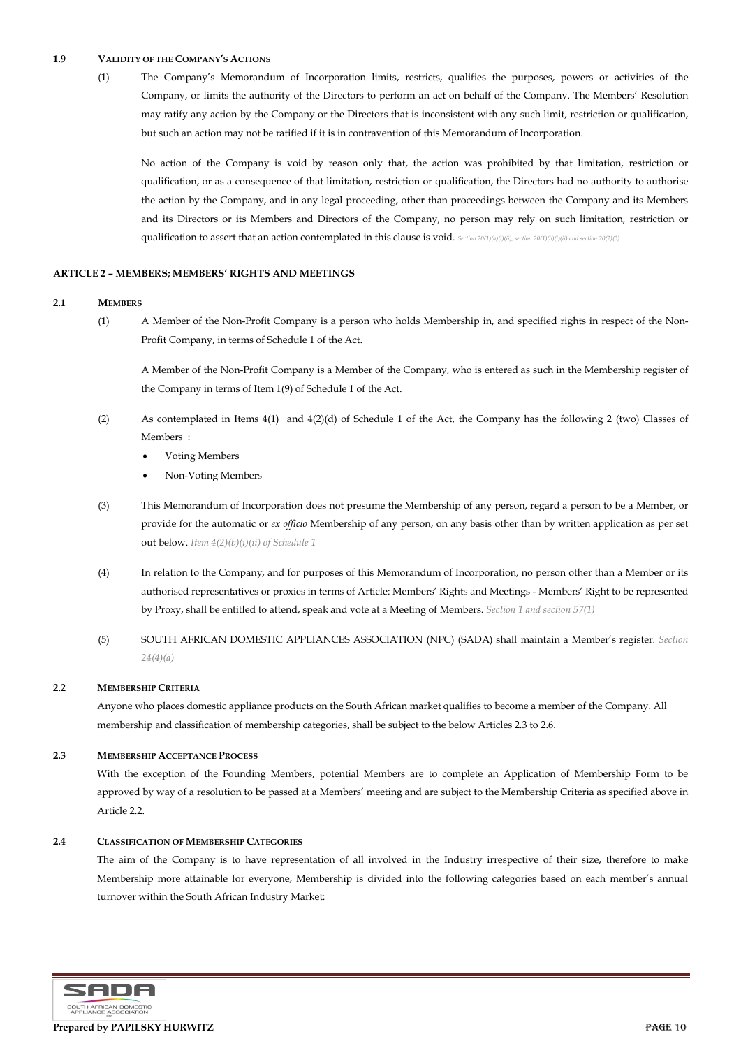### 1.9 VALIDITY OF THE COMPANY'S ACTIONS

(1) The Company's Memorandum of Incorporation limits, restricts, qualifies the purposes, powers or activities of the Company, or limits the authority of the Directors to perform an act on behalf of the Company. The Members' Resolution may ratify any action by the Company or the Directors that is inconsistent with any such limit, restriction or qualification, but such an action may not be ratified if it is in contravention of this Memorandum of Incorporation.

No action of the Company is void by reason only that, the action was prohibited by that limitation, restriction or qualification, or as a consequence of that limitation, restriction or qualification, the Directors had no authority to authorise the action by the Company, and in any legal proceeding, other than proceedings between the Company and its Members and its Directors or its Members and Directors of the Company, no person may rely on such limitation, restriction or qualification to assert that an action contemplated in this clause is void. *Section 20(1)(a)(i)(ii), section 20(1)(b)(i)(ii) and section 20(2)(3)*

#### ARTICLE 2 – MEMBERS; MEMBERS' RIGHTS AND MEETINGS

#### 2.1 MEMBERS

(1) A Member of the Non-Profit Company is a person who holds Membership in, and specified rights in respect of the Non-Profit Company, in terms of Schedule 1 of the Act.

A Member of the Non-Profit Company is a Member of the Company, who is entered as such in the Membership register of the Company in terms of Item 1(9) of Schedule 1 of the Act.

- (2) As contemplated in Items 4(1) and 4(2)(d) of Schedule 1 of the Act, the Company has the following 2 (two) Classes of Members :
	- Voting Members
	- Non-Voting Members
- (3) This Memorandum of Incorporation does not presume the Membership of any person, regard a person to be a Member, or provide for the automatic or *ex officio* Membership of any person, on any basis other than by written application as per set out below. *Item 4(2)(b)(i)(ii) of Schedule 1*
- (4) In relation to the Company, and for purposes of this Memorandum of Incorporation, no person other than a Member or its authorised representatives or proxies in terms of Article: Members' Rights and Meetings - Members' Right to be represented by Proxy, shall be entitled to attend, speak and vote at a Meeting of Members. *Section 1 and section 57(1)*
- (5) SOUTH AFRICAN DOMESTIC APPLIANCES ASSOCIATION (NPC) (SADA) shall maintain a Member's register. *Section 24(4)(a)*

### 2.2 MEMBERSHIP CRITERIA

Anyone who places domestic appliance products on the South African market qualifies to become a member of the Company. All membership and classification of membership categories, shall be subject to the below Articles 2.3 to 2.6.

### 2.3 MEMBERSHIP ACCEPTANCE PROCESS

With the exception of the Founding Members, potential Members are to complete an Application of Membership Form to be approved by way of a resolution to be passed at a Members' meeting and are subject to the Membership Criteria as specified above in Article 2.2.

# 2.4 CLASSIFICATION OF MEMBERSHIP CATEGORIES

The aim of the Company is to have representation of all involved in the Industry irrespective of their size, therefore to make Membership more attainable for everyone, Membership is divided into the following categories based on each member's annual turnover within the South African Industry Market:

![](_page_10_Picture_19.jpeg)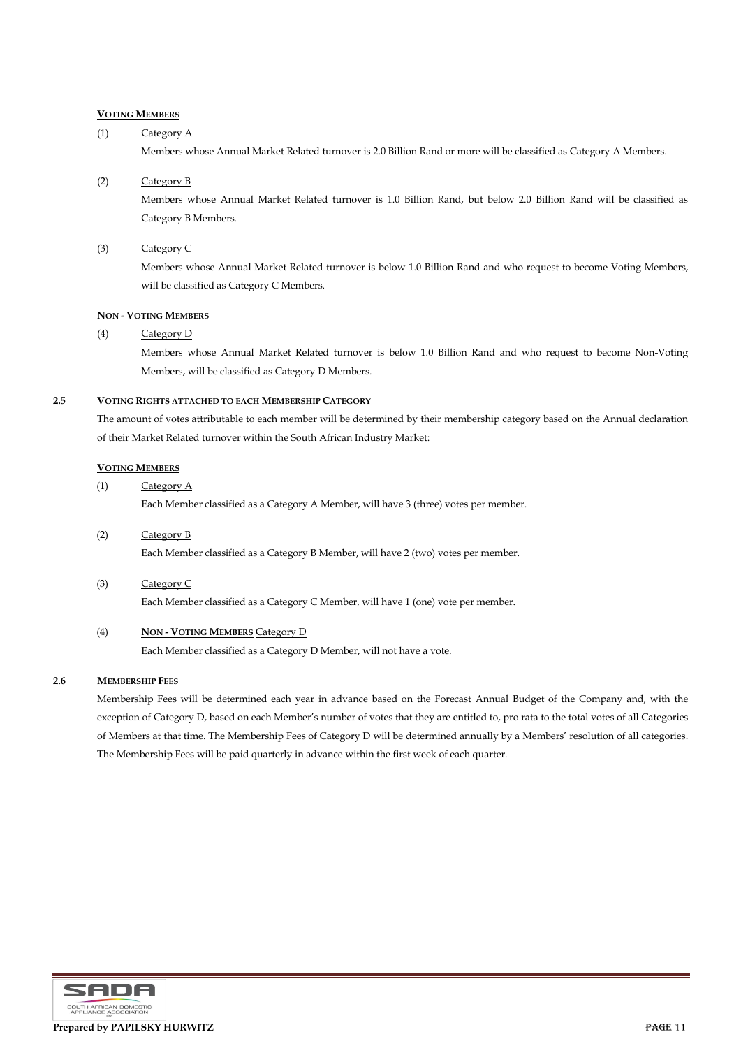### VOTING MEMBERS

# (1) Category A

Members whose Annual Market Related turnover is 2.0 Billion Rand or more will be classified as Category A Members.

### (2) Category B

Members whose Annual Market Related turnover is 1.0 Billion Rand, but below 2.0 Billion Rand will be classified as Category B Members.

# (3) Category C

Members whose Annual Market Related turnover is below 1.0 Billion Rand and who request to become Voting Members, will be classified as Category C Members.

### NON - VOTING MEMBERS

# (4) Category D

Members whose Annual Market Related turnover is below 1.0 Billion Rand and who request to become Non-Voting Members, will be classified as Category D Members.

# 2.5 VOTING RIGHTS ATTACHED TO EACH MEMBERSHIP CATEGORY

The amount of votes attributable to each member will be determined by their membership category based on the Annual declaration of their Market Related turnover within the South African Industry Market:

# VOTING MEMBERS

(1) Category A

Each Member classified as a Category A Member, will have 3 (three) votes per member.

- (2) Category B Each Member classified as a Category B Member, will have 2 (two) votes per member.
- (3) Category C

Each Member classified as a Category C Member, will have 1 (one) vote per member.

# (4) NON - VOTING MEMBERS Category D

Each Member classified as a Category D Member, will not have a vote.

### 2.6 MEMBERSHIP FEES

Membership Fees will be determined each year in advance based on the Forecast Annual Budget of the Company and, with the exception of Category D, based on each Member's number of votes that they are entitled to, pro rata to the total votes of all Categories of Members at that time. The Membership Fees of Category D will be determined annually by a Members' resolution of all categories. The Membership Fees will be paid quarterly in advance within the first week of each quarter.

![](_page_11_Picture_22.jpeg)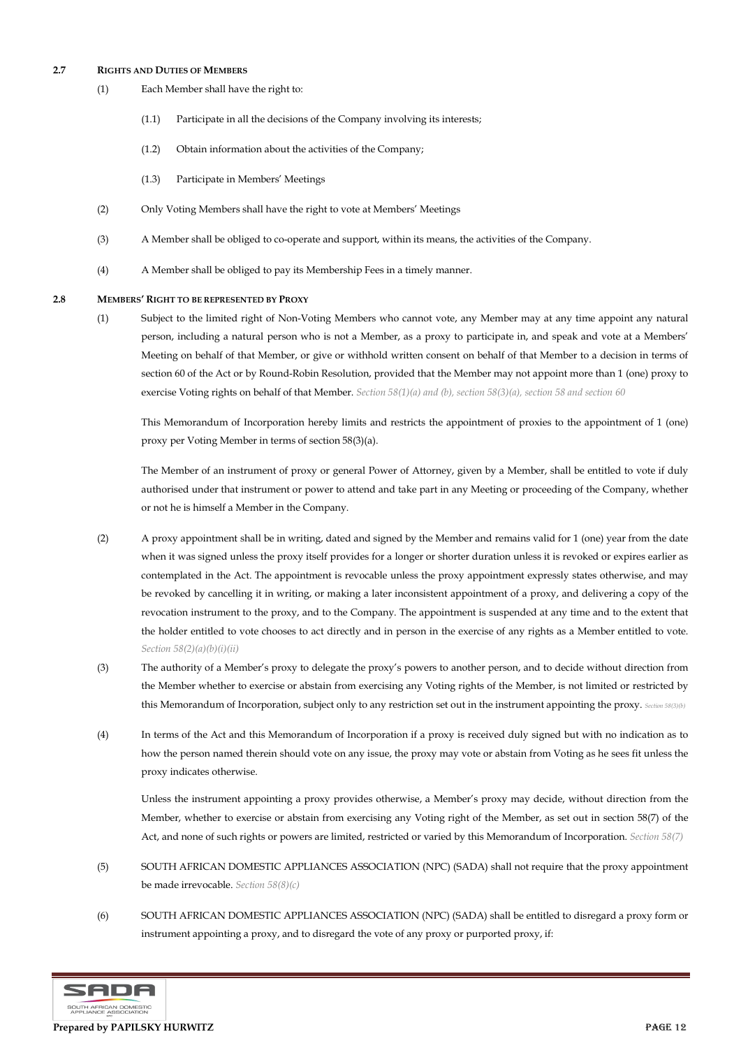#### 2.7 RIGHTS AND DUTIES OF MEMBERS

- (1) Each Member shall have the right to:
	- (1.1) Participate in all the decisions of the Company involving its interests;
	- (1.2) Obtain information about the activities of the Company;
	- (1.3) Participate in Members' Meetings
- (2) Only Voting Members shall have the right to vote at Members' Meetings
- (3) A Member shall be obliged to co-operate and support, within its means, the activities of the Company.
- (4) A Member shall be obliged to pay its Membership Fees in a timely manner.
- 

#### 2.8 MEMBERS' RIGHT TO BE REPRESENTED BY PROXY

(1) Subject to the limited right of Non-Voting Members who cannot vote, any Member may at any time appoint any natural person, including a natural person who is not a Member, as a proxy to participate in, and speak and vote at a Members' Meeting on behalf of that Member, or give or withhold written consent on behalf of that Member to a decision in terms of section 60 of the Act or by Round-Robin Resolution, provided that the Member may not appoint more than 1 (one) proxy to exercise Voting rights on behalf of that Member. *Section 58(1)(a) and (b), section 58(3)(a), section 58 and section 60*

This Memorandum of Incorporation hereby limits and restricts the appointment of proxies to the appointment of 1 (one) proxy per Voting Member in terms of section 58(3)(a).

The Member of an instrument of proxy or general Power of Attorney, given by a Member, shall be entitled to vote if duly authorised under that instrument or power to attend and take part in any Meeting or proceeding of the Company, whether or not he is himself a Member in the Company.

- (2) A proxy appointment shall be in writing, dated and signed by the Member and remains valid for 1 (one) year from the date when it was signed unless the proxy itself provides for a longer or shorter duration unless it is revoked or expires earlier as contemplated in the Act. The appointment is revocable unless the proxy appointment expressly states otherwise, and may be revoked by cancelling it in writing, or making a later inconsistent appointment of a proxy, and delivering a copy of the revocation instrument to the proxy, and to the Company. The appointment is suspended at any time and to the extent that the holder entitled to vote chooses to act directly and in person in the exercise of any rights as a Member entitled to vote. *Section 58(2)(a)(b)(i)(ii)*
- (3) The authority of a Member's proxy to delegate the proxy's powers to another person, and to decide without direction from the Member whether to exercise or abstain from exercising any Voting rights of the Member, is not limited or restricted by this Memorandum of Incorporation, subject only to any restriction set out in the instrument appointing the proxy. *Section 58(3)(b)*
- (4) In terms of the Act and this Memorandum of Incorporation if a proxy is received duly signed but with no indication as to how the person named therein should vote on any issue, the proxy may vote or abstain from Voting as he sees fit unless the proxy indicates otherwise.

Unless the instrument appointing a proxy provides otherwise, a Member's proxy may decide, without direction from the Member, whether to exercise or abstain from exercising any Voting right of the Member, as set out in section 58(7) of the Act, and none of such rights or powers are limited, restricted or varied by this Memorandum of Incorporation. *Section 58(7)*

- (5) SOUTH AFRICAN DOMESTIC APPLIANCES ASSOCIATION (NPC) (SADA) shall not require that the proxy appointment be made irrevocable. *Section 58(8)(c)*
- (6) SOUTH AFRICAN DOMESTIC APPLIANCES ASSOCIATION (NPC) (SADA) shall be entitled to disregard a proxy form or instrument appointing a proxy, and to disregard the vote of any proxy or purported proxy, if:

![](_page_12_Picture_19.jpeg)

### Prepared by PAPILSKY HURWITZ **PAGE 12**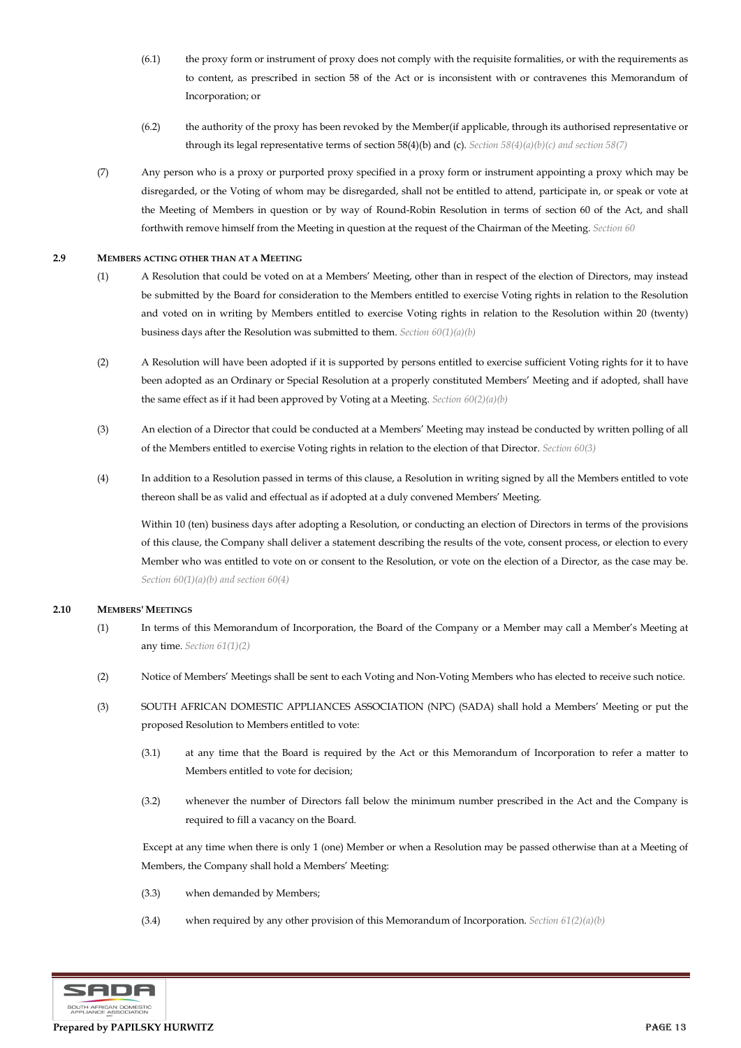- (6.1) the proxy form or instrument of proxy does not comply with the requisite formalities, or with the requirements as to content, as prescribed in section 58 of the Act or is inconsistent with or contravenes this Memorandum of Incorporation; or
- (6.2) the authority of the proxy has been revoked by the Member(if applicable, through its authorised representative or through its legal representative terms of section 58(4)(b) and (c). *Section 58(4)(a)(b)(c) and section 58(7)*
- (7) Any person who is a proxy or purported proxy specified in a proxy form or instrument appointing a proxy which may be disregarded, or the Voting of whom may be disregarded, shall not be entitled to attend, participate in, or speak or vote at the Meeting of Members in question or by way of Round-Robin Resolution in terms of section 60 of the Act, and shall forthwith remove himself from the Meeting in question at the request of the Chairman of the Meeting. *Section 60*

### 2.9 MEMBERS ACTING OTHER THAN AT A MEETING

- (1) A Resolution that could be voted on at a Members' Meeting, other than in respect of the election of Directors, may instead be submitted by the Board for consideration to the Members entitled to exercise Voting rights in relation to the Resolution and voted on in writing by Members entitled to exercise Voting rights in relation to the Resolution within 20 (twenty) business days after the Resolution was submitted to them. *Section 60(1)(a)(b)*
- (2) A Resolution will have been adopted if it is supported by persons entitled to exercise sufficient Voting rights for it to have been adopted as an Ordinary or Special Resolution at a properly constituted Members' Meeting and if adopted, shall have the same effect as if it had been approved by Voting at a Meeting. *Section 60(2)(a)(b)*
- (3) An election of a Director that could be conducted at a Members' Meeting may instead be conducted by written polling of all of the Members entitled to exercise Voting rights in relation to the election of that Director. *Section 60(3)*
- (4) In addition to a Resolution passed in terms of this clause, a Resolution in writing signed by all the Members entitled to vote thereon shall be as valid and effectual as if adopted at a duly convened Members' Meeting.

Within 10 (ten) business days after adopting a Resolution, or conducting an election of Directors in terms of the provisions of this clause, the Company shall deliver a statement describing the results of the vote, consent process, or election to every Member who was entitled to vote on or consent to the Resolution, or vote on the election of a Director, as the case may be. *Section 60(1)(a)(b) and section 60(4)*

### 2.10 MEMBERS' MEETINGS

- (1) In terms of this Memorandum of Incorporation, the Board of the Company or a Member may call a Member's Meeting at any time. *Section 61(1)(2)*
- (2) Notice of Members' Meetings shall be sent to each Voting and Non-Voting Members who has elected to receive such notice.
- (3) SOUTH AFRICAN DOMESTIC APPLIANCES ASSOCIATION (NPC) (SADA) shall hold a Members' Meeting or put the proposed Resolution to Members entitled to vote:
	- (3.1) at any time that the Board is required by the Act or this Memorandum of Incorporation to refer a matter to Members entitled to vote for decision;
	- (3.2) whenever the number of Directors fall below the minimum number prescribed in the Act and the Company is required to fill a vacancy on the Board.

Except at any time when there is only 1 (one) Member or when a Resolution may be passed otherwise than at a Meeting of Members, the Company shall hold a Members' Meeting:

- (3.3) when demanded by Members;
- (3.4) when required by any other provision of this Memorandum of Incorporation. *Section 61(2)(a)(b)*

![](_page_13_Picture_18.jpeg)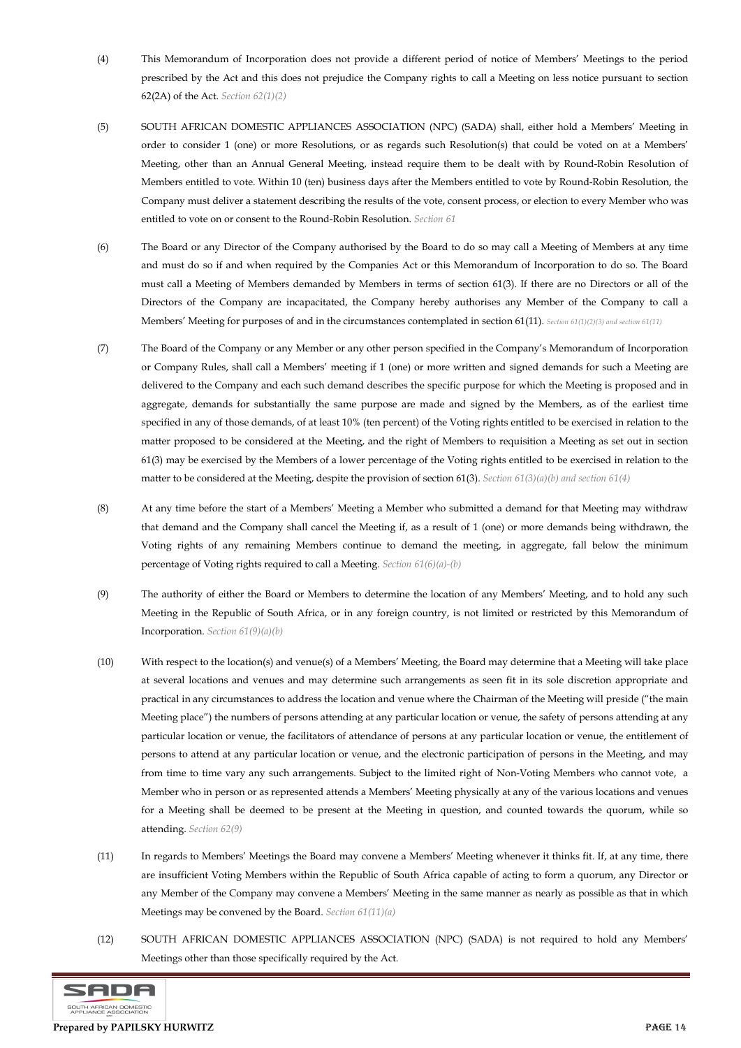- (4) This Memorandum of Incorporation does not provide a different period of notice of Members' Meetings to the period prescribed by the Act and this does not prejudice the Company rights to call a Meeting on less notice pursuant to section 62(2A) of the Act. *Section 62(1)(2)*
- (5) SOUTH AFRICAN DOMESTIC APPLIANCES ASSOCIATION (NPC) (SADA) shall, either hold a Members' Meeting in order to consider 1 (one) or more Resolutions, or as regards such Resolution(s) that could be voted on at a Members' Meeting, other than an Annual General Meeting, instead require them to be dealt with by Round-Robin Resolution of Members entitled to vote. Within 10 (ten) business days after the Members entitled to vote by Round-Robin Resolution, the Company must deliver a statement describing the results of the vote, consent process, or election to every Member who was entitled to vote on or consent to the Round-Robin Resolution. *Section 61*
- (6) The Board or any Director of the Company authorised by the Board to do so may call a Meeting of Members at any time and must do so if and when required by the Companies Act or this Memorandum of Incorporation to do so. The Board must call a Meeting of Members demanded by Members in terms of section 61(3). If there are no Directors or all of the Directors of the Company are incapacitated, the Company hereby authorises any Member of the Company to call a Members' Meeting for purposes of and in the circumstances contemplated in section 61(11). *Section 61(1)(2)(3) and section 61(11)*
- (7) The Board of the Company or any Member or any other person specified in the Company's Memorandum of Incorporation or Company Rules, shall call a Members' meeting if 1 (one) or more written and signed demands for such a Meeting are delivered to the Company and each such demand describes the specific purpose for which the Meeting is proposed and in aggregate, demands for substantially the same purpose are made and signed by the Members, as of the earliest time specified in any of those demands, of at least 10% (ten percent) of the Voting rights entitled to be exercised in relation to the matter proposed to be considered at the Meeting, and the right of Members to requisition a Meeting as set out in section 61(3) may be exercised by the Members of a lower percentage of the Voting rights entitled to be exercised in relation to the matter to be considered at the Meeting, despite the provision of section 61(3). *Section 61(3)(a)(b) and section 61(4)*
- (8) At any time before the start of a Members' Meeting a Member who submitted a demand for that Meeting may withdraw that demand and the Company shall cancel the Meeting if, as a result of 1 (one) or more demands being withdrawn, the Voting rights of any remaining Members continue to demand the meeting, in aggregate, fall below the minimum percentage of Voting rights required to call a Meeting. *Section 61(6)(a)-(b)*
- (9) The authority of either the Board or Members to determine the location of any Members' Meeting, and to hold any such Meeting in the Republic of South Africa, or in any foreign country, is not limited or restricted by this Memorandum of Incorporation. *Section 61(9)(a)(b)*
- (10) With respect to the location(s) and venue(s) of a Members' Meeting, the Board may determine that a Meeting will take place at several locations and venues and may determine such arrangements as seen fit in its sole discretion appropriate and practical in any circumstances to address the location and venue where the Chairman of the Meeting will preside ("the main Meeting place") the numbers of persons attending at any particular location or venue, the safety of persons attending at any particular location or venue, the facilitators of attendance of persons at any particular location or venue, the entitlement of persons to attend at any particular location or venue, and the electronic participation of persons in the Meeting, and may from time to time vary any such arrangements. Subject to the limited right of Non-Voting Members who cannot vote, a Member who in person or as represented attends a Members' Meeting physically at any of the various locations and venues for a Meeting shall be deemed to be present at the Meeting in question, and counted towards the quorum, while so attending. *Section 62(9)*
- (11) In regards to Members' Meetings the Board may convene a Members' Meeting whenever it thinks fit. If, at any time, there are insufficient Voting Members within the Republic of South Africa capable of acting to form a quorum, any Director or any Member of the Company may convene a Members' Meeting in the same manner as nearly as possible as that in which Meetings may be convened by the Board. *Section 61(11)(a)*
- (12) SOUTH AFRICAN DOMESTIC APPLIANCES ASSOCIATION (NPC) (SADA) is not required to hold any Members' Meetings other than those specifically required by the Act.

![](_page_14_Picture_9.jpeg)

### Prepared by PAPILSKY HURWITZ **PAGE 14**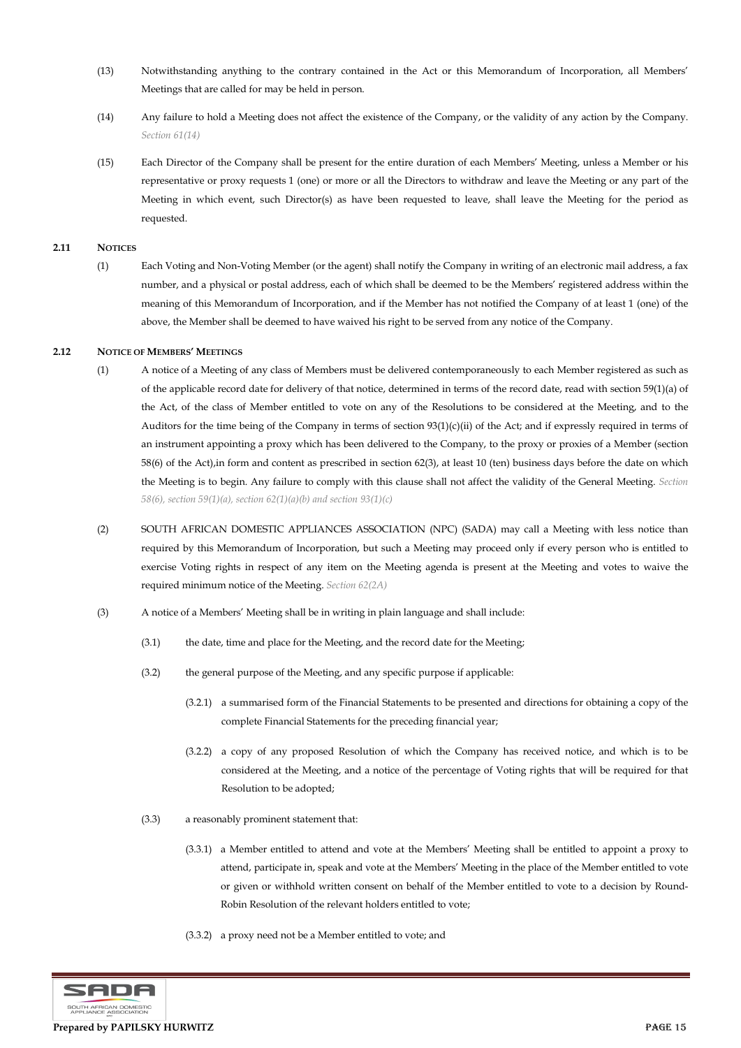- (13) Notwithstanding anything to the contrary contained in the Act or this Memorandum of Incorporation, all Members' Meetings that are called for may be held in person.
- (14) Any failure to hold a Meeting does not affect the existence of the Company, or the validity of any action by the Company. *Section 61(14)*
- (15) Each Director of the Company shall be present for the entire duration of each Members' Meeting, unless a Member or his representative or proxy requests 1 (one) or more or all the Directors to withdraw and leave the Meeting or any part of the Meeting in which event, such Director(s) as have been requested to leave, shall leave the Meeting for the period as requested.

### 2.11 NOTICES

(1) Each Voting and Non-Voting Member (or the agent) shall notify the Company in writing of an electronic mail address, a fax number, and a physical or postal address, each of which shall be deemed to be the Members' registered address within the meaning of this Memorandum of Incorporation, and if the Member has not notified the Company of at least 1 (one) of the above, the Member shall be deemed to have waived his right to be served from any notice of the Company.

### 2.12 NOTICE OF MEMBERS' MEETINGS

- (1) A notice of a Meeting of any class of Members must be delivered contemporaneously to each Member registered as such as of the applicable record date for delivery of that notice, determined in terms of the record date, read with section 59(1)(a) of the Act, of the class of Member entitled to vote on any of the Resolutions to be considered at the Meeting, and to the Auditors for the time being of the Company in terms of section  $93(1)(c)(ii)$  of the Act; and if expressly required in terms of an instrument appointing a proxy which has been delivered to the Company, to the proxy or proxies of a Member (section 58(6) of the Act),in form and content as prescribed in section 62(3), at least 10 (ten) business days before the date on which the Meeting is to begin. Any failure to comply with this clause shall not affect the validity of the General Meeting. *Section 58(6), section 59(1)(a), section 62(1)(a)(b) and section 93(1)(c)*
- (2) SOUTH AFRICAN DOMESTIC APPLIANCES ASSOCIATION (NPC) (SADA) may call a Meeting with less notice than required by this Memorandum of Incorporation, but such a Meeting may proceed only if every person who is entitled to exercise Voting rights in respect of any item on the Meeting agenda is present at the Meeting and votes to waive the required minimum notice of the Meeting. *Section 62(2A)*
- (3) A notice of a Members' Meeting shall be in writing in plain language and shall include:
	- (3.1) the date, time and place for the Meeting, and the record date for the Meeting;
	- (3.2) the general purpose of the Meeting, and any specific purpose if applicable:
		- (3.2.1) a summarised form of the Financial Statements to be presented and directions for obtaining a copy of the complete Financial Statements for the preceding financial year;
		- (3.2.2) a copy of any proposed Resolution of which the Company has received notice, and which is to be considered at the Meeting, and a notice of the percentage of Voting rights that will be required for that Resolution to be adopted;
	- (3.3) a reasonably prominent statement that:
		- (3.3.1) a Member entitled to attend and vote at the Members' Meeting shall be entitled to appoint a proxy to attend, participate in, speak and vote at the Members' Meeting in the place of the Member entitled to vote or given or withhold written consent on behalf of the Member entitled to vote to a decision by Round-Robin Resolution of the relevant holders entitled to vote;
		- (3.3.2) a proxy need not be a Member entitled to vote; and

![](_page_15_Picture_16.jpeg)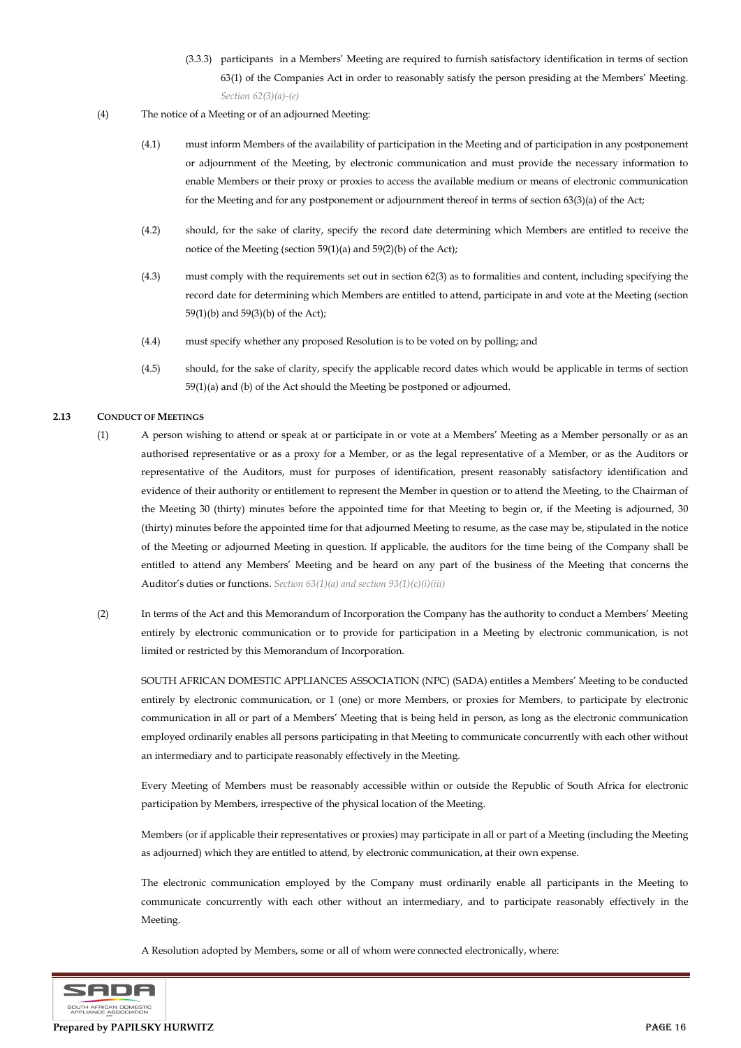- (3.3.3) participants in a Members' Meeting are required to furnish satisfactory identification in terms of section 63(1) of the Companies Act in order to reasonably satisfy the person presiding at the Members' Meeting. *Section 62(3)(a)-(e)*
- (4) The notice of a Meeting or of an adjourned Meeting:
	- (4.1) must inform Members of the availability of participation in the Meeting and of participation in any postponement or adjournment of the Meeting, by electronic communication and must provide the necessary information to enable Members or their proxy or proxies to access the available medium or means of electronic communication for the Meeting and for any postponement or adjournment thereof in terms of section 63(3)(a) of the Act;
	- (4.2) should, for the sake of clarity, specify the record date determining which Members are entitled to receive the notice of the Meeting (section 59(1)(a) and 59(2)(b) of the Act);
	- (4.3) must comply with the requirements set out in section 62(3) as to formalities and content, including specifying the record date for determining which Members are entitled to attend, participate in and vote at the Meeting (section 59(1)(b) and 59(3)(b) of the Act);
	- (4.4) must specify whether any proposed Resolution is to be voted on by polling; and
	- (4.5) should, for the sake of clarity, specify the applicable record dates which would be applicable in terms of section 59(1)(a) and (b) of the Act should the Meeting be postponed or adjourned.

### 2.13 CONDUCT OF MEETINGS

- (1) A person wishing to attend or speak at or participate in or vote at a Members' Meeting as a Member personally or as an authorised representative or as a proxy for a Member, or as the legal representative of a Member, or as the Auditors or representative of the Auditors, must for purposes of identification, present reasonably satisfactory identification and evidence of their authority or entitlement to represent the Member in question or to attend the Meeting, to the Chairman of the Meeting 30 (thirty) minutes before the appointed time for that Meeting to begin or, if the Meeting is adjourned, 30 (thirty) minutes before the appointed time for that adjourned Meeting to resume, as the case may be, stipulated in the notice of the Meeting or adjourned Meeting in question. If applicable, the auditors for the time being of the Company shall be entitled to attend any Members' Meeting and be heard on any part of the business of the Meeting that concerns the Auditor's duties or functions. *Section 63(1)(a) and section 93(1)(c)(i)(iii)*
- (2) In terms of the Act and this Memorandum of Incorporation the Company has the authority to conduct a Members' Meeting entirely by electronic communication or to provide for participation in a Meeting by electronic communication, is not limited or restricted by this Memorandum of Incorporation.

SOUTH AFRICAN DOMESTIC APPLIANCES ASSOCIATION (NPC) (SADA) entitles a Members' Meeting to be conducted entirely by electronic communication, or 1 (one) or more Members, or proxies for Members, to participate by electronic communication in all or part of a Members' Meeting that is being held in person, as long as the electronic communication employed ordinarily enables all persons participating in that Meeting to communicate concurrently with each other without an intermediary and to participate reasonably effectively in the Meeting.

Every Meeting of Members must be reasonably accessible within or outside the Republic of South Africa for electronic participation by Members, irrespective of the physical location of the Meeting.

Members (or if applicable their representatives or proxies) may participate in all or part of a Meeting (including the Meeting as adjourned) which they are entitled to attend, by electronic communication, at their own expense.

The electronic communication employed by the Company must ordinarily enable all participants in the Meeting to communicate concurrently with each other without an intermediary, and to participate reasonably effectively in the Meeting.

A Resolution adopted by Members, some or all of whom were connected electronically, where:

![](_page_16_Picture_15.jpeg)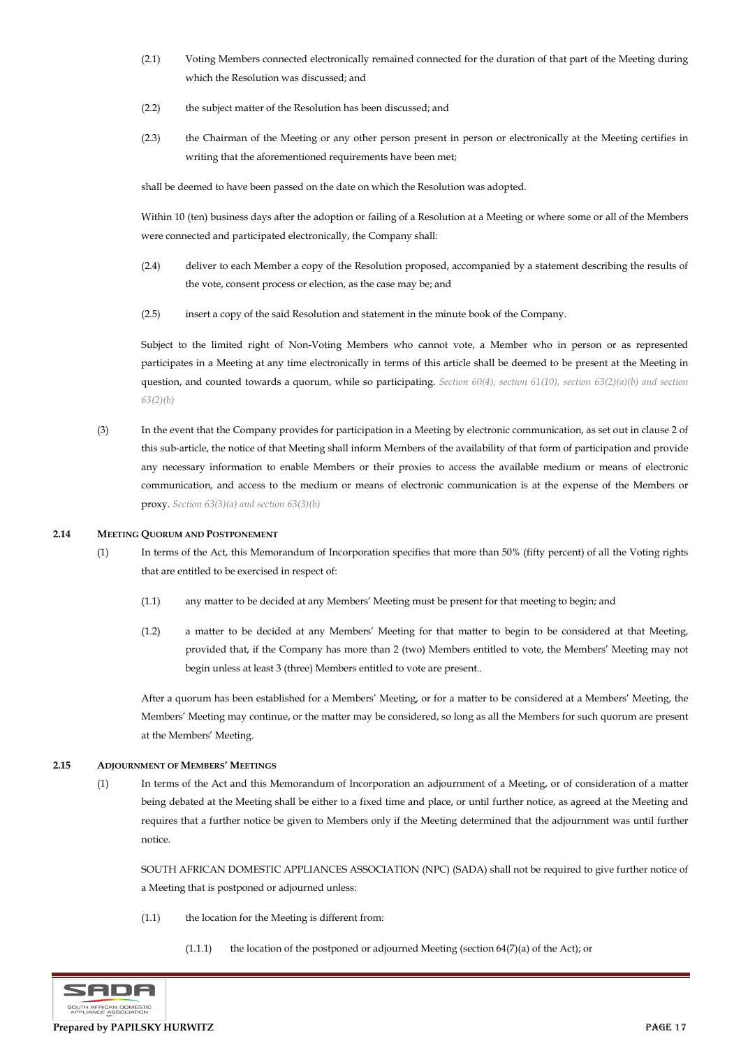- (2.1) Voting Members connected electronically remained connected for the duration of that part of the Meeting during which the Resolution was discussed; and
- (2.2) the subject matter of the Resolution has been discussed; and
- (2.3) the Chairman of the Meeting or any other person present in person or electronically at the Meeting certifies in writing that the aforementioned requirements have been met;

shall be deemed to have been passed on the date on which the Resolution was adopted.

Within 10 (ten) business days after the adoption or failing of a Resolution at a Meeting or where some or all of the Members were connected and participated electronically, the Company shall:

- (2.4) deliver to each Member a copy of the Resolution proposed, accompanied by a statement describing the results of the vote, consent process or election, as the case may be; and
- (2.5) insert a copy of the said Resolution and statement in the minute book of the Company.

Subject to the limited right of Non-Voting Members who cannot vote, a Member who in person or as represented participates in a Meeting at any time electronically in terms of this article shall be deemed to be present at the Meeting in question, and counted towards a quorum, while so participating. *Section 60(4), section 61(10), section 63(2)(a)(b) and section 63(2)(b)*

(3) In the event that the Company provides for participation in a Meeting by electronic communication, as set out in clause 2 of this sub-article, the notice of that Meeting shall inform Members of the availability of that form of participation and provide any necessary information to enable Members or their proxies to access the available medium or means of electronic communication, and access to the medium or means of electronic communication is at the expense of the Members or proxy. *Section 63(3)(a) and section 63(3)(b)*

#### 2.14 MEETING QUORUM AND POSTPONEMENT

- (1) In terms of the Act, this Memorandum of Incorporation specifies that more than 50% (fifty percent) of all the Voting rights that are entitled to be exercised in respect of:
	- (1.1) any matter to be decided at any Members' Meeting must be present for that meeting to begin; and
	- (1.2) a matter to be decided at any Members' Meeting for that matter to begin to be considered at that Meeting, provided that, if the Company has more than 2 (two) Members entitled to vote, the Members' Meeting may not begin unless at least 3 (three) Members entitled to vote are present..

After a quorum has been established for a Members' Meeting, or for a matter to be considered at a Members' Meeting, the Members' Meeting may continue, or the matter may be considered, so long as all the Members for such quorum are present at the Members' Meeting.

### 2.15 ADJOURNMENT OF MEMBERS' MEETINGS

(1) In terms of the Act and this Memorandum of Incorporation an adjournment of a Meeting, or of consideration of a matter being debated at the Meeting shall be either to a fixed time and place, or until further notice, as agreed at the Meeting and requires that a further notice be given to Members only if the Meeting determined that the adjournment was until further notice.

SOUTH AFRICAN DOMESTIC APPLIANCES ASSOCIATION (NPC) (SADA) shall not be required to give further notice of a Meeting that is postponed or adjourned unless:

- (1.1) the location for the Meeting is different from:
	- (1.1.1) the location of the postponed or adjourned Meeting (section 64(7)(a) of the Act); or

![](_page_17_Picture_19.jpeg)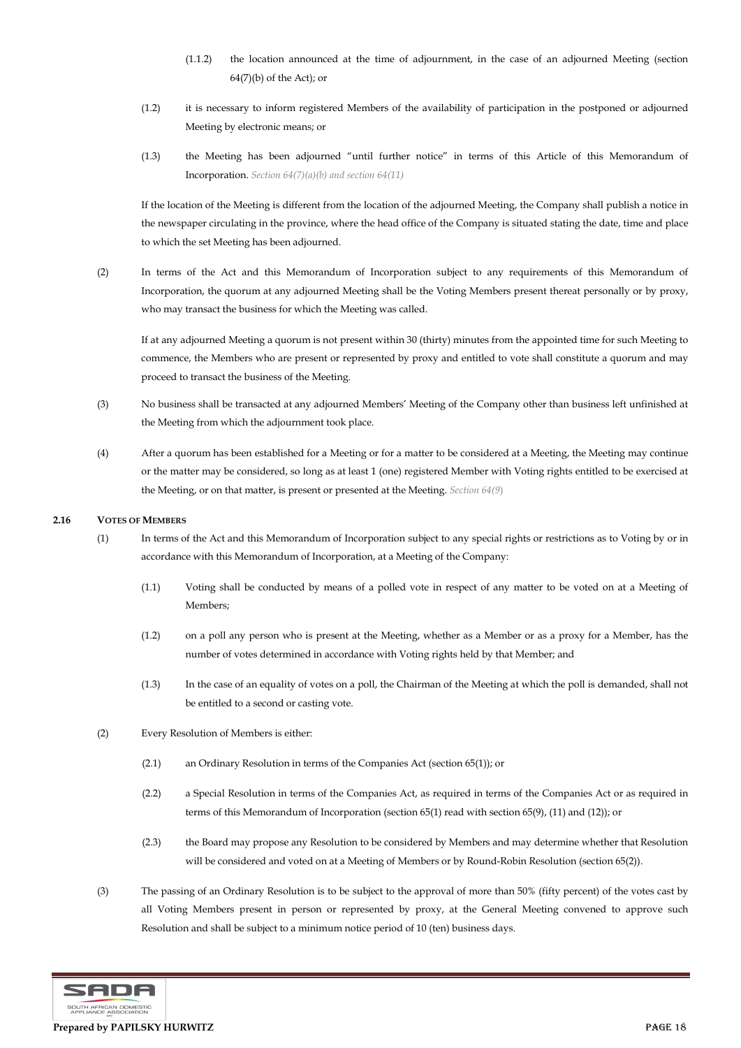- (1.1.2) the location announced at the time of adjournment, in the case of an adjourned Meeting (section  $64(7)(b)$  of the Act); or
- (1.2) it is necessary to inform registered Members of the availability of participation in the postponed or adjourned Meeting by electronic means; or
- (1.3) the Meeting has been adjourned "until further notice" in terms of this Article of this Memorandum of Incorporation. *Section 64(7)(a)(b) and section 64(11)*

If the location of the Meeting is different from the location of the adjourned Meeting, the Company shall publish a notice in the newspaper circulating in the province, where the head office of the Company is situated stating the date, time and place to which the set Meeting has been adjourned.

(2) In terms of the Act and this Memorandum of Incorporation subject to any requirements of this Memorandum of Incorporation, the quorum at any adjourned Meeting shall be the Voting Members present thereat personally or by proxy, who may transact the business for which the Meeting was called.

If at any adjourned Meeting a quorum is not present within 30 (thirty) minutes from the appointed time for such Meeting to commence, the Members who are present or represented by proxy and entitled to vote shall constitute a quorum and may proceed to transact the business of the Meeting.

- (3) No business shall be transacted at any adjourned Members' Meeting of the Company other than business left unfinished at the Meeting from which the adjournment took place.
- (4) After a quorum has been established for a Meeting or for a matter to be considered at a Meeting, the Meeting may continue or the matter may be considered, so long as at least 1 (one) registered Member with Voting rights entitled to be exercised at the Meeting, or on that matter, is present or presented at the Meeting. *Section 64(9*)

# 2.16 VOTES OF MEMBERS

- (1) In terms of the Act and this Memorandum of Incorporation subject to any special rights or restrictions as to Voting by or in accordance with this Memorandum of Incorporation, at a Meeting of the Company:
	- (1.1) Voting shall be conducted by means of a polled vote in respect of any matter to be voted on at a Meeting of Members;
	- (1.2) on a poll any person who is present at the Meeting, whether as a Member or as a proxy for a Member, has the number of votes determined in accordance with Voting rights held by that Member; and
	- (1.3) In the case of an equality of votes on a poll, the Chairman of the Meeting at which the poll is demanded, shall not be entitled to a second or casting vote.
- (2) Every Resolution of Members is either:
	- (2.1) an Ordinary Resolution in terms of the Companies Act (section 65(1)); or
	- (2.2) a Special Resolution in terms of the Companies Act, as required in terms of the Companies Act or as required in terms of this Memorandum of Incorporation (section 65(1) read with section 65(9), (11) and (12)); or
	- (2.3) the Board may propose any Resolution to be considered by Members and may determine whether that Resolution will be considered and voted on at a Meeting of Members or by Round-Robin Resolution (section 65(2)).
- (3) The passing of an Ordinary Resolution is to be subject to the approval of more than 50% (fifty percent) of the votes cast by all Voting Members present in person or represented by proxy, at the General Meeting convened to approve such Resolution and shall be subject to a minimum notice period of 10 (ten) business days.

![](_page_18_Picture_18.jpeg)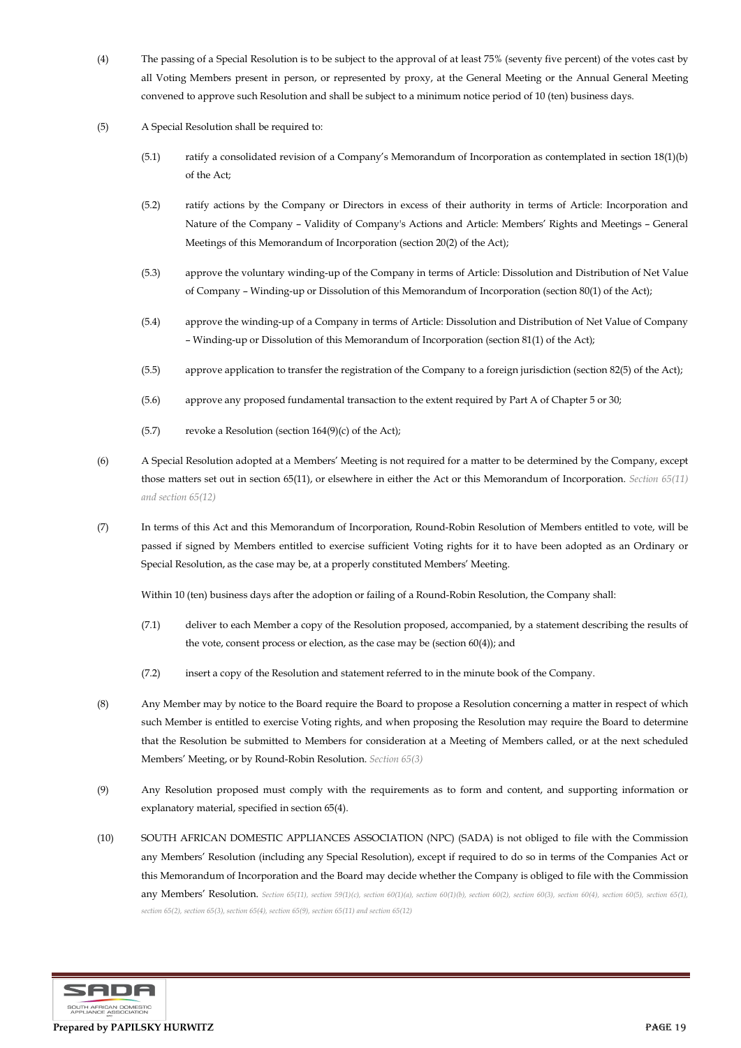- (4) The passing of a Special Resolution is to be subject to the approval of at least 75% (seventy five percent) of the votes cast by all Voting Members present in person, or represented by proxy, at the General Meeting or the Annual General Meeting convened to approve such Resolution and shall be subject to a minimum notice period of 10 (ten) business days.
- (5) A Special Resolution shall be required to:
	- (5.1) ratify a consolidated revision of a Company's Memorandum of Incorporation as contemplated in section 18(1)(b) of the Act;
	- (5.2) ratify actions by the Company or Directors in excess of their authority in terms of Article: Incorporation and Nature of the Company – Validity of Company's Actions and Article: Members' Rights and Meetings – General Meetings of this Memorandum of Incorporation (section 20(2) of the Act);
	- (5.3) approve the voluntary winding-up of the Company in terms of Article: Dissolution and Distribution of Net Value of Company – Winding-up or Dissolution of this Memorandum of Incorporation (section 80(1) of the Act);
	- (5.4) approve the winding-up of a Company in terms of Article: Dissolution and Distribution of Net Value of Company – Winding-up or Dissolution of this Memorandum of Incorporation (section 81(1) of the Act);
	- (5.5) approve application to transfer the registration of the Company to a foreign jurisdiction (section 82(5) of the Act);
	- (5.6) approve any proposed fundamental transaction to the extent required by Part A of Chapter 5 or 30;
	- $(5.7)$  revoke a Resolution (section 164 $(9)$ (c) of the Act);
- (6) A Special Resolution adopted at a Members' Meeting is not required for a matter to be determined by the Company, except those matters set out in section 65(11), or elsewhere in either the Act or this Memorandum of Incorporation. *Section 65(11) and section 65(12)*
- (7) In terms of this Act and this Memorandum of Incorporation, Round-Robin Resolution of Members entitled to vote, will be passed if signed by Members entitled to exercise sufficient Voting rights for it to have been adopted as an Ordinary or Special Resolution, as the case may be, at a properly constituted Members' Meeting.

Within 10 (ten) business days after the adoption or failing of a Round-Robin Resolution, the Company shall:

- (7.1) deliver to each Member a copy of the Resolution proposed, accompanied, by a statement describing the results of the vote, consent process or election, as the case may be (section 60(4)); and
- (7.2) insert a copy of the Resolution and statement referred to in the minute book of the Company.
- (8) Any Member may by notice to the Board require the Board to propose a Resolution concerning a matter in respect of which such Member is entitled to exercise Voting rights, and when proposing the Resolution may require the Board to determine that the Resolution be submitted to Members for consideration at a Meeting of Members called, or at the next scheduled Members' Meeting, or by Round-Robin Resolution. *Section 65(3)*
- (9) Any Resolution proposed must comply with the requirements as to form and content, and supporting information or explanatory material, specified in section 65(4).
- (10) SOUTH AFRICAN DOMESTIC APPLIANCES ASSOCIATION (NPC) (SADA) is not obliged to file with the Commission any Members' Resolution (including any Special Resolution), except if required to do so in terms of the Companies Act or this Memorandum of Incorporation and the Board may decide whether the Company is obliged to file with the Commission any Members' Resolution. *Section 65(11), section 59(1)(c), section 60(1)(a), section 60(1)(b), section 60(2), section 60(3), section 60(4), section 60(5), section 65(1), section 65(2), section 65(3), section 65(4), section 65(9), section 65(11) and section 65(12)*

![](_page_19_Picture_17.jpeg)

### Prepared by PAPILSKY HURWITZ **Page 19** PAGE 19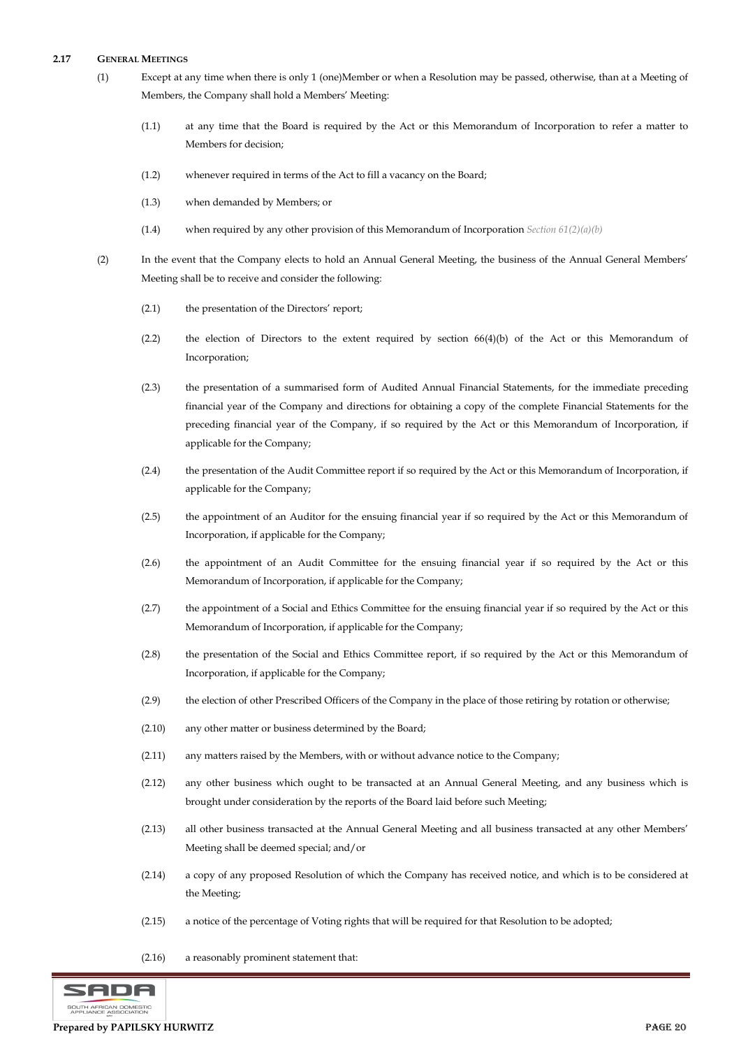# 2.17 GENERAL MEETINGS

- (1) Except at any time when there is only 1 (one)Member or when a Resolution may be passed, otherwise, than at a Meeting of Members, the Company shall hold a Members' Meeting:
	- (1.1) at any time that the Board is required by the Act or this Memorandum of Incorporation to refer a matter to Members for decision;
	- (1.2) whenever required in terms of the Act to fill a vacancy on the Board;
	- (1.3) when demanded by Members; or
	- (1.4) when required by any other provision of this Memorandum of Incorporation *Section 61(2)(a)(b)*
- (2) In the event that the Company elects to hold an Annual General Meeting, the business of the Annual General Members' Meeting shall be to receive and consider the following:
	- (2.1) the presentation of the Directors' report;
	- (2.2) the election of Directors to the extent required by section 66(4)(b) of the Act or this Memorandum of Incorporation;
	- (2.3) the presentation of a summarised form of Audited Annual Financial Statements, for the immediate preceding financial year of the Company and directions for obtaining a copy of the complete Financial Statements for the preceding financial year of the Company, if so required by the Act or this Memorandum of Incorporation, if applicable for the Company;
	- (2.4) the presentation of the Audit Committee report if so required by the Act or this Memorandum of Incorporation, if applicable for the Company;
	- (2.5) the appointment of an Auditor for the ensuing financial year if so required by the Act or this Memorandum of Incorporation, if applicable for the Company;
	- (2.6) the appointment of an Audit Committee for the ensuing financial year if so required by the Act or this Memorandum of Incorporation, if applicable for the Company;
	- (2.7) the appointment of a Social and Ethics Committee for the ensuing financial year if so required by the Act or this Memorandum of Incorporation, if applicable for the Company;
	- (2.8) the presentation of the Social and Ethics Committee report, if so required by the Act or this Memorandum of Incorporation, if applicable for the Company;
	- (2.9) the election of other Prescribed Officers of the Company in the place of those retiring by rotation or otherwise;
	- (2.10) any other matter or business determined by the Board;
	- (2.11) any matters raised by the Members, with or without advance notice to the Company;
	- (2.12) any other business which ought to be transacted at an Annual General Meeting, and any business which is brought under consideration by the reports of the Board laid before such Meeting;
	- (2.13) all other business transacted at the Annual General Meeting and all business transacted at any other Members' Meeting shall be deemed special; and/or
	- (2.14) a copy of any proposed Resolution of which the Company has received notice, and which is to be considered at the Meeting;
	- (2.15) a notice of the percentage of Voting rights that will be required for that Resolution to be adopted;
	- (2.16) a reasonably prominent statement that:

![](_page_20_Picture_23.jpeg)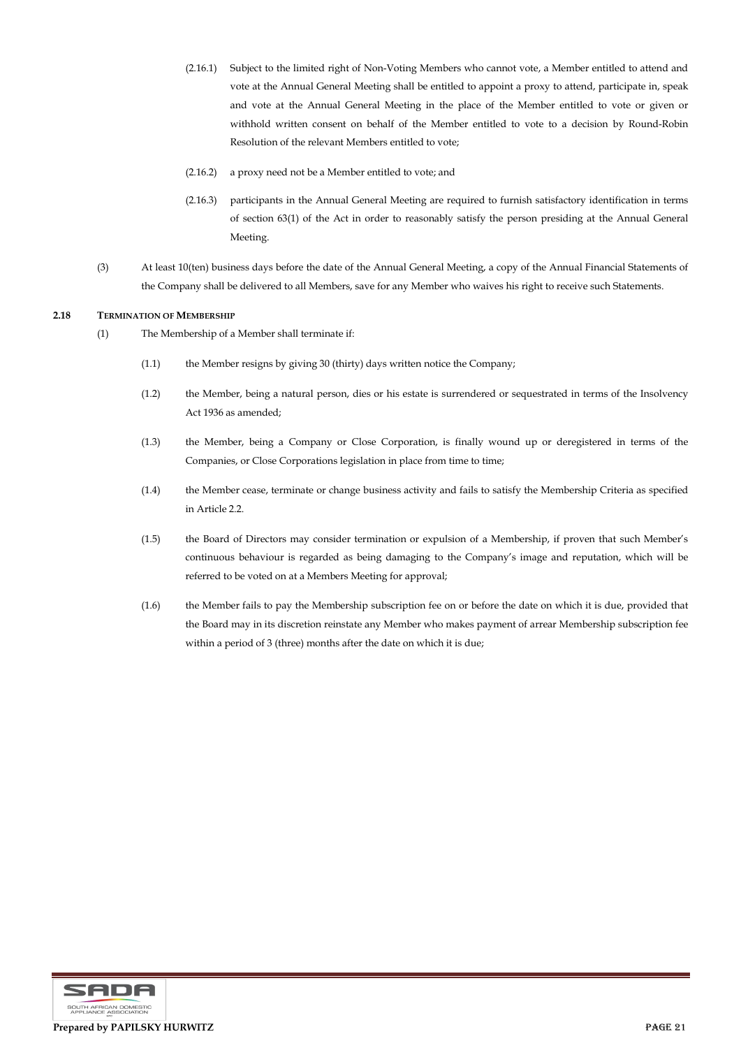- (2.16.1) Subject to the limited right of Non-Voting Members who cannot vote, a Member entitled to attend and vote at the Annual General Meeting shall be entitled to appoint a proxy to attend, participate in, speak and vote at the Annual General Meeting in the place of the Member entitled to vote or given or withhold written consent on behalf of the Member entitled to vote to a decision by Round-Robin Resolution of the relevant Members entitled to vote;
- (2.16.2) a proxy need not be a Member entitled to vote; and
- (2.16.3) participants in the Annual General Meeting are required to furnish satisfactory identification in terms of section 63(1) of the Act in order to reasonably satisfy the person presiding at the Annual General Meeting.
- (3) At least 10(ten) business days before the date of the Annual General Meeting, a copy of the Annual Financial Statements of the Company shall be delivered to all Members, save for any Member who waives his right to receive such Statements.

### 2.18 TERMINATION OF MEMBERSHIP

- (1) The Membership of a Member shall terminate if:
	- (1.1) the Member resigns by giving 30 (thirty) days written notice the Company;
	- (1.2) the Member, being a natural person, dies or his estate is surrendered or sequestrated in terms of the Insolvency Act 1936 as amended;
	- (1.3) the Member, being a Company or Close Corporation, is finally wound up or deregistered in terms of the Companies, or Close Corporations legislation in place from time to time;
	- (1.4) the Member cease, terminate or change business activity and fails to satisfy the Membership Criteria as specified in Article 2.2.
	- (1.5) the Board of Directors may consider termination or expulsion of a Membership, if proven that such Member's continuous behaviour is regarded as being damaging to the Company's image and reputation, which will be referred to be voted on at a Members Meeting for approval;
	- (1.6) the Member fails to pay the Membership subscription fee on or before the date on which it is due, provided that the Board may in its discretion reinstate any Member who makes payment of arrear Membership subscription fee within a period of 3 (three) months after the date on which it is due;

![](_page_21_Picture_12.jpeg)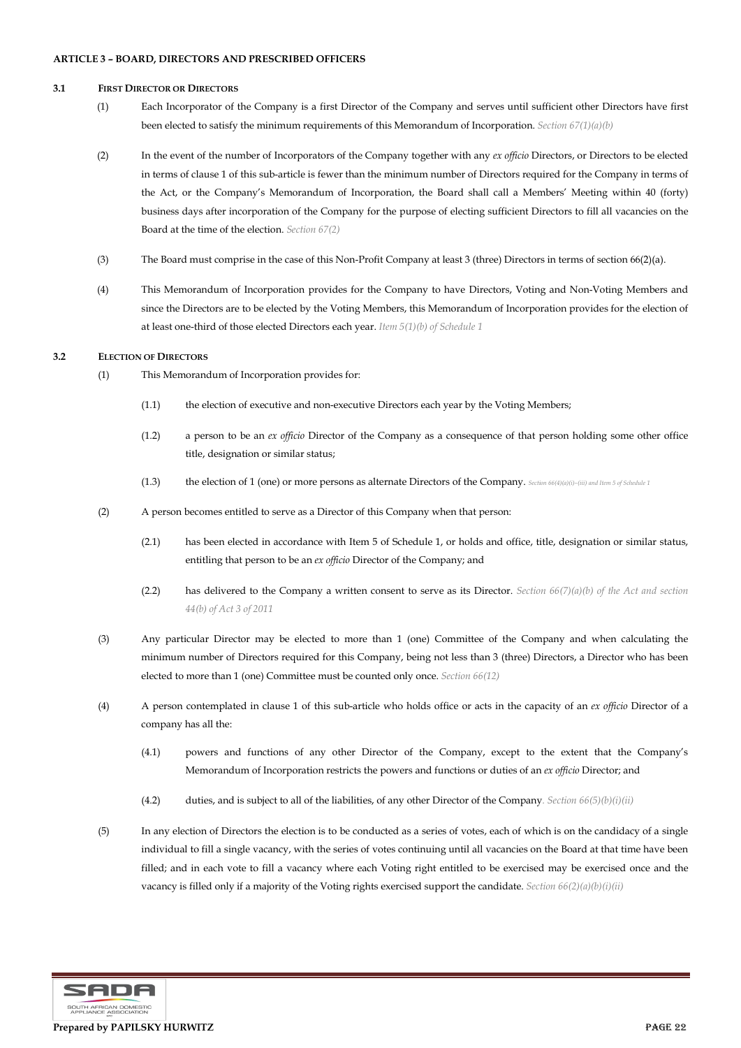### ARTICLE 3 – BOARD, DIRECTORS AND PRESCRIBED OFFICERS

#### 3.1 FIRST DIRECTOR OR DIRECTORS

- (1) Each Incorporator of the Company is a first Director of the Company and serves until sufficient other Directors have first been elected to satisfy the minimum requirements of this Memorandum of Incorporation. *Section 67(1)(a)(b)*
- (2) In the event of the number of Incorporators of the Company together with any *ex officio* Directors, or Directors to be elected in terms of clause 1 of this sub-article is fewer than the minimum number of Directors required for the Company in terms of the Act, or the Company's Memorandum of Incorporation, the Board shall call a Members' Meeting within 40 (forty) business days after incorporation of the Company for the purpose of electing sufficient Directors to fill all vacancies on the Board at the time of the election. *Section 67(2)*
- (3) The Board must comprise in the case of this Non-Profit Company at least 3 (three) Directors in terms of section 66(2)(a).
- (4) This Memorandum of Incorporation provides for the Company to have Directors, Voting and Non-Voting Members and since the Directors are to be elected by the Voting Members, this Memorandum of Incorporation provides for the election of at least one-third of those elected Directors each year. *Item 5(1)(b) of Schedule 1*

#### 3.2 ELECTION OF DIRECTORS

- (1) This Memorandum of Incorporation provides for:
	- (1.1) the election of executive and non-executive Directors each year by the Voting Members;
	- (1.2) a person to be an *ex officio* Director of the Company as a consequence of that person holding some other office title, designation or similar status;
	- (1.3) the election of 1 (one) or more persons as alternate Directors of the Company. *Section 66(4)(a)(i)–(iii) and Item 5 of Schedule 1*
- (2) A person becomes entitled to serve as a Director of this Company when that person:
	- (2.1) has been elected in accordance with Item 5 of Schedule 1, or holds and office, title, designation or similar status, entitling that person to be an *ex officio* Director of the Company; and
	- (2.2) has delivered to the Company a written consent to serve as its Director. *Section 66(7)(a)(b) of the Act and section 44(b) of Act 3 of 2011*
- (3) Any particular Director may be elected to more than 1 (one) Committee of the Company and when calculating the minimum number of Directors required for this Company, being not less than 3 (three) Directors, a Director who has been elected to more than 1 (one) Committee must be counted only once. *Section 66(12)*
- (4) A person contemplated in clause 1 of this sub-article who holds office or acts in the capacity of an *ex officio* Director of a company has all the:
	- (4.1) powers and functions of any other Director of the Company, except to the extent that the Company's Memorandum of Incorporation restricts the powers and functions or duties of an *ex officio* Director; and
	- (4.2) duties, and is subject to all of the liabilities, of any other Director of the Company*. Section 66(5)(b)(i)(ii)*
- (5) In any election of Directors the election is to be conducted as a series of votes, each of which is on the candidacy of a single individual to fill a single vacancy, with the series of votes continuing until all vacancies on the Board at that time have been filled; and in each vote to fill a vacancy where each Voting right entitled to be exercised may be exercised once and the vacancy is filled only if a majority of the Voting rights exercised support the candidate. *Section 66(2)(a)(b)(i)(ii)*

![](_page_22_Picture_19.jpeg)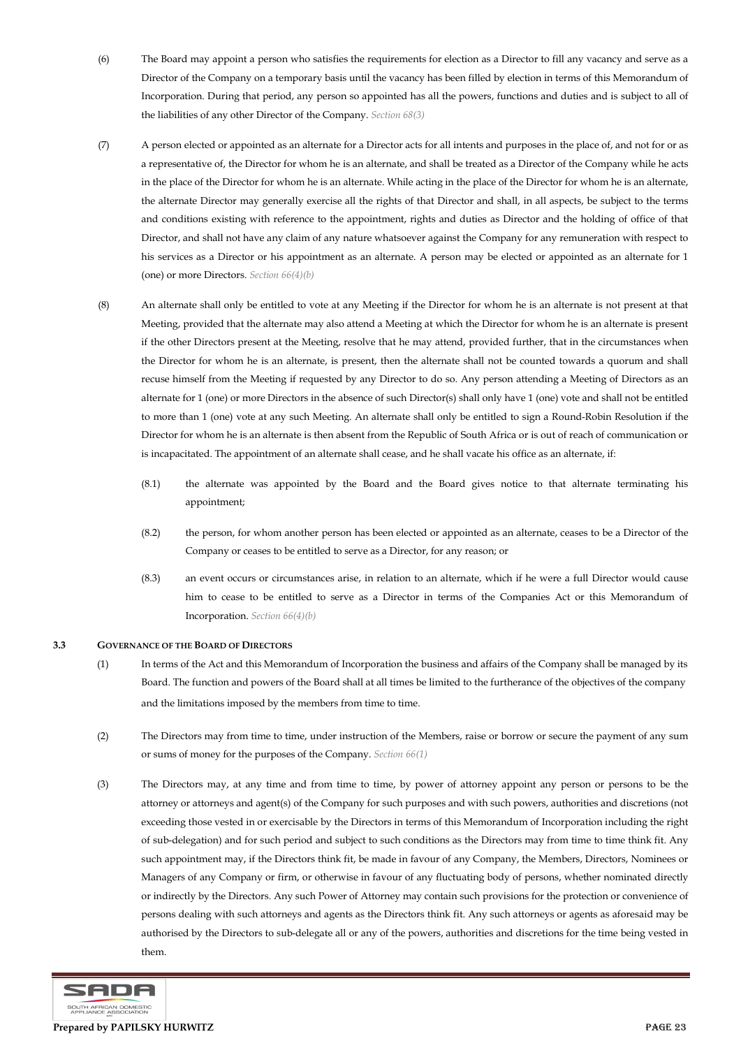- (6) The Board may appoint a person who satisfies the requirements for election as a Director to fill any vacancy and serve as a Director of the Company on a temporary basis until the vacancy has been filled by election in terms of this Memorandum of Incorporation. During that period, any person so appointed has all the powers, functions and duties and is subject to all of the liabilities of any other Director of the Company. *Section 68(3)*
- (7) A person elected or appointed as an alternate for a Director acts for all intents and purposes in the place of, and not for or as a representative of, the Director for whom he is an alternate, and shall be treated as a Director of the Company while he acts in the place of the Director for whom he is an alternate. While acting in the place of the Director for whom he is an alternate, the alternate Director may generally exercise all the rights of that Director and shall, in all aspects, be subject to the terms and conditions existing with reference to the appointment, rights and duties as Director and the holding of office of that Director, and shall not have any claim of any nature whatsoever against the Company for any remuneration with respect to his services as a Director or his appointment as an alternate. A person may be elected or appointed as an alternate for 1 (one) or more Directors. *Section 66(4)(b)*
- (8) An alternate shall only be entitled to vote at any Meeting if the Director for whom he is an alternate is not present at that Meeting, provided that the alternate may also attend a Meeting at which the Director for whom he is an alternate is present if the other Directors present at the Meeting, resolve that he may attend, provided further, that in the circumstances when the Director for whom he is an alternate, is present, then the alternate shall not be counted towards a quorum and shall recuse himself from the Meeting if requested by any Director to do so. Any person attending a Meeting of Directors as an alternate for 1 (one) or more Directors in the absence of such Director(s) shall only have 1 (one) vote and shall not be entitled to more than 1 (one) vote at any such Meeting. An alternate shall only be entitled to sign a Round-Robin Resolution if the Director for whom he is an alternate is then absent from the Republic of South Africa or is out of reach of communication or is incapacitated. The appointment of an alternate shall cease, and he shall vacate his office as an alternate, if:
	- (8.1) the alternate was appointed by the Board and the Board gives notice to that alternate terminating his appointment;
	- (8.2) the person, for whom another person has been elected or appointed as an alternate, ceases to be a Director of the Company or ceases to be entitled to serve as a Director, for any reason; or
	- (8.3) an event occurs or circumstances arise, in relation to an alternate, which if he were a full Director would cause him to cease to be entitled to serve as a Director in terms of the Companies Act or this Memorandum of Incorporation. *Section 66(4)(b)*

### 3.3 GOVERNANCE OF THE BOARD OF DIRECTORS

- (1) In terms of the Act and this Memorandum of Incorporation the business and affairs of the Company shall be managed by its Board. The function and powers of the Board shall at all times be limited to the furtherance of the objectives of the company and the limitations imposed by the members from time to time.
- (2) The Directors may from time to time, under instruction of the Members, raise or borrow or secure the payment of any sum or sums of money for the purposes of the Company. *Section 66(1)*
- (3) The Directors may, at any time and from time to time, by power of attorney appoint any person or persons to be the attorney or attorneys and agent(s) of the Company for such purposes and with such powers, authorities and discretions (not exceeding those vested in or exercisable by the Directors in terms of this Memorandum of Incorporation including the right of sub-delegation) and for such period and subject to such conditions as the Directors may from time to time think fit. Any such appointment may, if the Directors think fit, be made in favour of any Company, the Members, Directors, Nominees or Managers of any Company or firm, or otherwise in favour of any fluctuating body of persons, whether nominated directly or indirectly by the Directors. Any such Power of Attorney may contain such provisions for the protection or convenience of persons dealing with such attorneys and agents as the Directors think fit. Any such attorneys or agents as aforesaid may be authorised by the Directors to sub-delegate all or any of the powers, authorities and discretions for the time being vested in them.

![](_page_23_Picture_10.jpeg)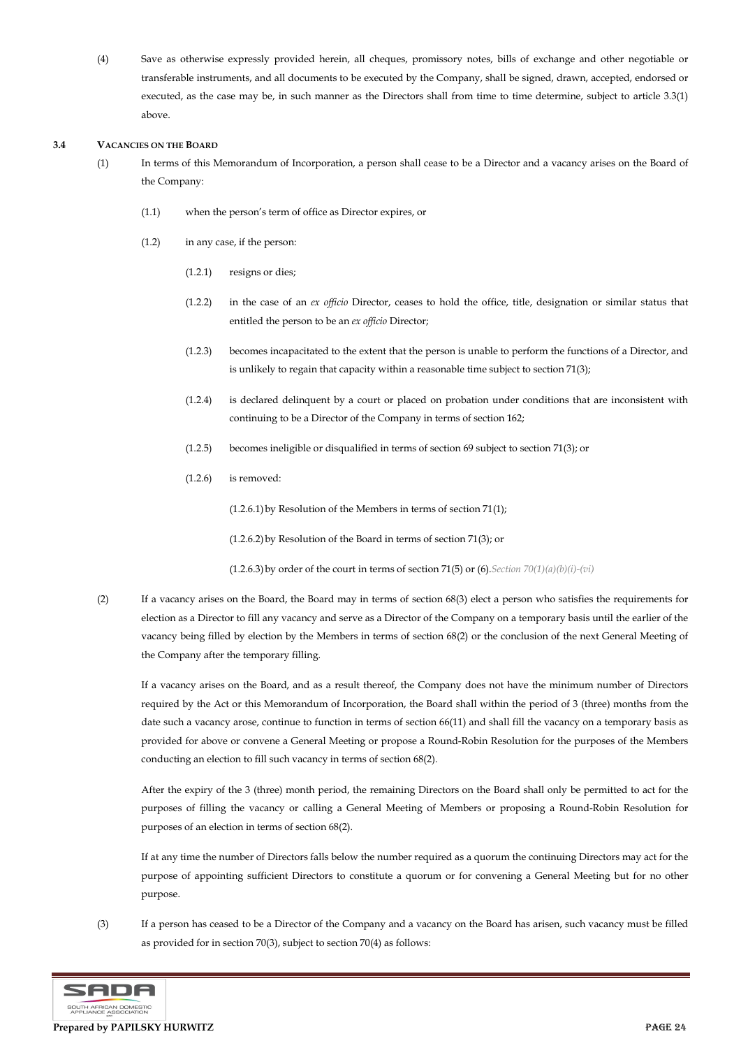(4) Save as otherwise expressly provided herein, all cheques, promissory notes, bills of exchange and other negotiable or transferable instruments, and all documents to be executed by the Company, shall be signed, drawn, accepted, endorsed or executed, as the case may be, in such manner as the Directors shall from time to time determine, subject to article 3.3(1) above.

# 3.4 VACANCIES ON THE BOARD

- (1) In terms of this Memorandum of Incorporation, a person shall cease to be a Director and a vacancy arises on the Board of the Company:
	- (1.1) when the person's term of office as Director expires, or
	- (1.2) in any case, if the person:
		- (1.2.1) resigns or dies;
		- (1.2.2) in the case of an *ex officio* Director, ceases to hold the office, title, designation or similar status that entitled the person to be an *ex officio* Director;
		- (1.2.3) becomes incapacitated to the extent that the person is unable to perform the functions of a Director, and is unlikely to regain that capacity within a reasonable time subject to section 71(3);
		- (1.2.4) is declared delinquent by a court or placed on probation under conditions that are inconsistent with continuing to be a Director of the Company in terms of section 162;
		- (1.2.5) becomes ineligible or disqualified in terms of section 69 subject to section 71(3); or
		- (1.2.6) is removed:

(1.2.6.1)by Resolution of the Members in terms of section 71(1);

- (1.2.6.2)by Resolution of the Board in terms of section 71(3); or
- (1.2.6.3)by order of the court in terms of section 71(5) or (6).*Section 70(1)(a)(b)(i)-(vi)*
- (2) If a vacancy arises on the Board, the Board may in terms of section 68(3) elect a person who satisfies the requirements for election as a Director to fill any vacancy and serve as a Director of the Company on a temporary basis until the earlier of the vacancy being filled by election by the Members in terms of section 68(2) or the conclusion of the next General Meeting of the Company after the temporary filling.

If a vacancy arises on the Board, and as a result thereof, the Company does not have the minimum number of Directors required by the Act or this Memorandum of Incorporation, the Board shall within the period of 3 (three) months from the date such a vacancy arose, continue to function in terms of section 66(11) and shall fill the vacancy on a temporary basis as provided for above or convene a General Meeting or propose a Round-Robin Resolution for the purposes of the Members conducting an election to fill such vacancy in terms of section 68(2).

After the expiry of the 3 (three) month period, the remaining Directors on the Board shall only be permitted to act for the purposes of filling the vacancy or calling a General Meeting of Members or proposing a Round-Robin Resolution for purposes of an election in terms of section 68(2).

If at any time the number of Directors falls below the number required as a quorum the continuing Directors may act for the purpose of appointing sufficient Directors to constitute a quorum or for convening a General Meeting but for no other purpose.

(3) If a person has ceased to be a Director of the Company and a vacancy on the Board has arisen, such vacancy must be filled as provided for in section 70(3), subject to section 70(4) as follows:

![](_page_24_Picture_19.jpeg)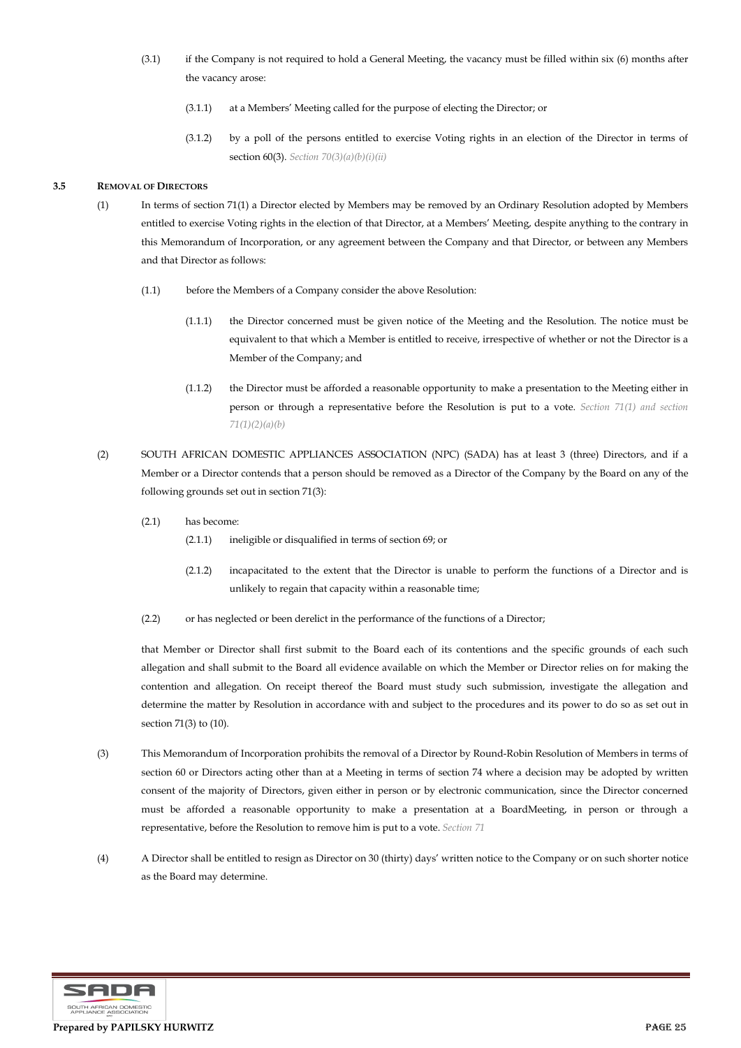- (3.1) if the Company is not required to hold a General Meeting, the vacancy must be filled within six (6) months after the vacancy arose:
	- (3.1.1) at a Members' Meeting called for the purpose of electing the Director; or
	- (3.1.2) by a poll of the persons entitled to exercise Voting rights in an election of the Director in terms of section 60(3). *Section 70(3)(a)(b)(i)(ii)*

# 3.5 REMOVAL OF DIRECTORS

- (1) In terms of section 71(1) a Director elected by Members may be removed by an Ordinary Resolution adopted by Members entitled to exercise Voting rights in the election of that Director, at a Members' Meeting, despite anything to the contrary in this Memorandum of Incorporation, or any agreement between the Company and that Director, or between any Members and that Director as follows:
	- (1.1) before the Members of a Company consider the above Resolution:
		- (1.1.1) the Director concerned must be given notice of the Meeting and the Resolution. The notice must be equivalent to that which a Member is entitled to receive, irrespective of whether or not the Director is a Member of the Company; and
		- (1.1.2) the Director must be afforded a reasonable opportunity to make a presentation to the Meeting either in person or through a representative before the Resolution is put to a vote. *Section 71(1) and section 71(1)(2)(a)(b)*
- (2) SOUTH AFRICAN DOMESTIC APPLIANCES ASSOCIATION (NPC) (SADA) has at least 3 (three) Directors, and if a Member or a Director contends that a person should be removed as a Director of the Company by the Board on any of the following grounds set out in section 71(3):
	- (2.1) has become:
		- (2.1.1) ineligible or disqualified in terms of section 69; or
		- (2.1.2) incapacitated to the extent that the Director is unable to perform the functions of a Director and is unlikely to regain that capacity within a reasonable time;
	- (2.2) or has neglected or been derelict in the performance of the functions of a Director;

that Member or Director shall first submit to the Board each of its contentions and the specific grounds of each such allegation and shall submit to the Board all evidence available on which the Member or Director relies on for making the contention and allegation. On receipt thereof the Board must study such submission, investigate the allegation and determine the matter by Resolution in accordance with and subject to the procedures and its power to do so as set out in section 71(3) to (10).

- (3) This Memorandum of Incorporation prohibits the removal of a Director by Round-Robin Resolution of Members in terms of section 60 or Directors acting other than at a Meeting in terms of section 74 where a decision may be adopted by written consent of the majority of Directors, given either in person or by electronic communication, since the Director concerned must be afforded a reasonable opportunity to make a presentation at a BoardMeeting, in person or through a representative, before the Resolution to remove him is put to a vote. *Section 71*
- (4) A Director shall be entitled to resign as Director on 30 (thirty) days' written notice to the Company or on such shorter notice as the Board may determine.

![](_page_25_Picture_16.jpeg)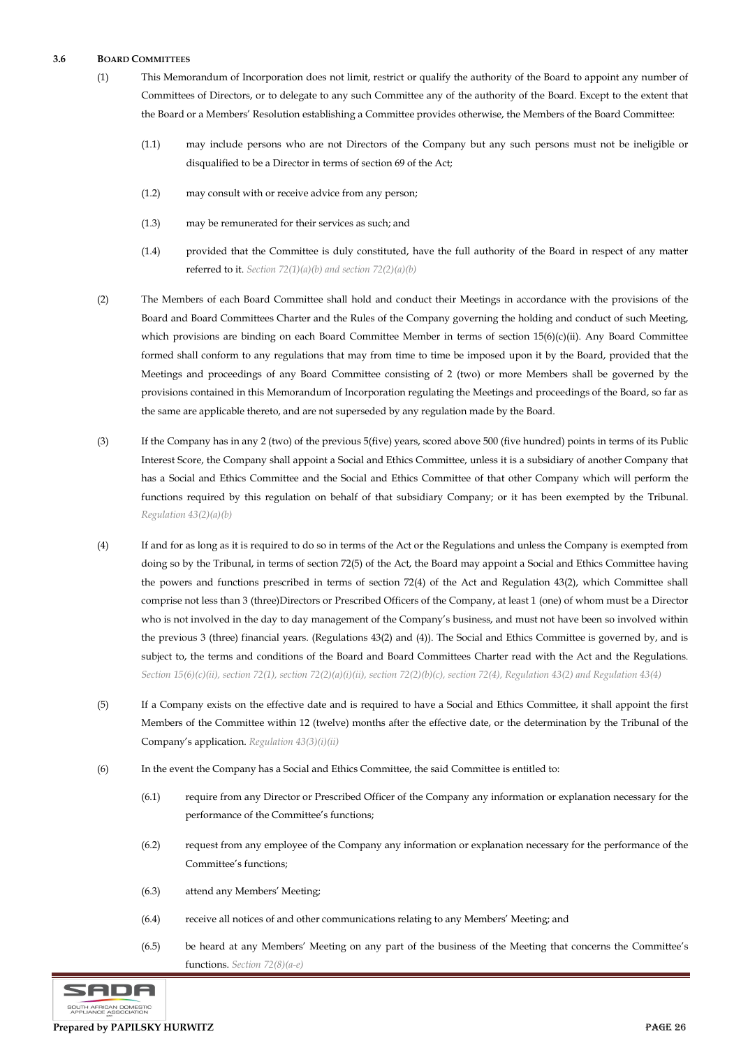### 3.6 BOARD COMMITTEES

- (1) This Memorandum of Incorporation does not limit, restrict or qualify the authority of the Board to appoint any number of Committees of Directors, or to delegate to any such Committee any of the authority of the Board. Except to the extent that the Board or a Members' Resolution establishing a Committee provides otherwise, the Members of the Board Committee:
	- (1.1) may include persons who are not Directors of the Company but any such persons must not be ineligible or disqualified to be a Director in terms of section 69 of the Act;
	- (1.2) may consult with or receive advice from any person;
	- (1.3) may be remunerated for their services as such; and
	- (1.4) provided that the Committee is duly constituted, have the full authority of the Board in respect of any matter referred to it. *Section 72(1)(a)(b) and section 72(2)(a)(b)*
- (2) The Members of each Board Committee shall hold and conduct their Meetings in accordance with the provisions of the Board and Board Committees Charter and the Rules of the Company governing the holding and conduct of such Meeting, which provisions are binding on each Board Committee Member in terms of section 15(6)(c)(ii). Any Board Committee formed shall conform to any regulations that may from time to time be imposed upon it by the Board, provided that the Meetings and proceedings of any Board Committee consisting of 2 (two) or more Members shall be governed by the provisions contained in this Memorandum of Incorporation regulating the Meetings and proceedings of the Board, so far as the same are applicable thereto, and are not superseded by any regulation made by the Board.
- (3) If the Company has in any 2 (two) of the previous 5(five) years, scored above 500 (five hundred) points in terms of its Public Interest Score, the Company shall appoint a Social and Ethics Committee, unless it is a subsidiary of another Company that has a Social and Ethics Committee and the Social and Ethics Committee of that other Company which will perform the functions required by this regulation on behalf of that subsidiary Company; or it has been exempted by the Tribunal. *Regulation 43(2)(a)(b)*
- (4) If and for as long as it is required to do so in terms of the Act or the Regulations and unless the Company is exempted from doing so by the Tribunal, in terms of section 72(5) of the Act, the Board may appoint a Social and Ethics Committee having the powers and functions prescribed in terms of section 72(4) of the Act and Regulation 43(2), which Committee shall comprise not less than 3 (three)Directors or Prescribed Officers of the Company, at least 1 (one) of whom must be a Director who is not involved in the day to day management of the Company's business, and must not have been so involved within the previous 3 (three) financial years. (Regulations 43(2) and (4)). The Social and Ethics Committee is governed by, and is subject to, the terms and conditions of the Board and Board Committees Charter read with the Act and the Regulations. *Section 15(6)(c)(ii), section 72(1), section 72(2)(a)(i)(ii), section 72(2)(b)(c), section 72(4), Regulation 43(2) and Regulation 43(4)*
- (5) If a Company exists on the effective date and is required to have a Social and Ethics Committee, it shall appoint the first Members of the Committee within 12 (twelve) months after the effective date, or the determination by the Tribunal of the Company's application. *Regulation 43(3)(i)(ii)*
- (6) In the event the Company has a Social and Ethics Committee, the said Committee is entitled to:
	- (6.1) require from any Director or Prescribed Officer of the Company any information or explanation necessary for the performance of the Committee's functions;
	- (6.2) request from any employee of the Company any information or explanation necessary for the performance of the Committee's functions;
	- (6.3) attend any Members' Meeting;
	- (6.4) receive all notices of and other communications relating to any Members' Meeting; and
	- (6.5) be heard at any Members' Meeting on any part of the business of the Meeting that concerns the Committee's functions. *Section 72(8)(a-e)*

![](_page_26_Picture_16.jpeg)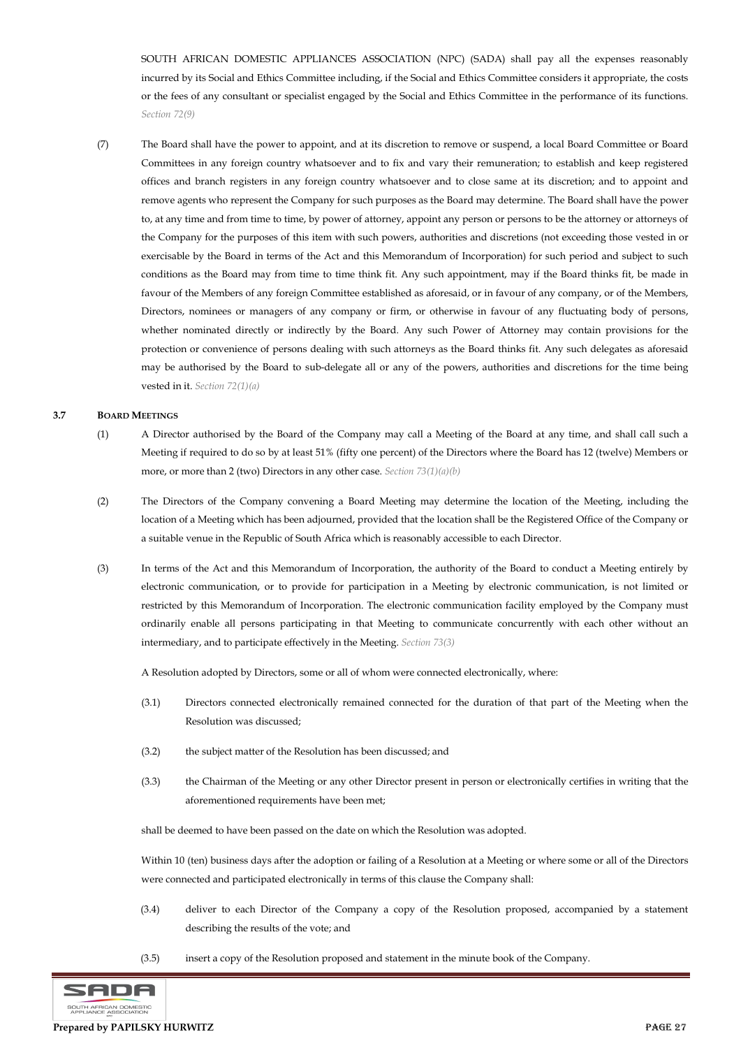SOUTH AFRICAN DOMESTIC APPLIANCES ASSOCIATION (NPC) (SADA) shall pay all the expenses reasonably incurred by its Social and Ethics Committee including, if the Social and Ethics Committee considers it appropriate, the costs or the fees of any consultant or specialist engaged by the Social and Ethics Committee in the performance of its functions. *Section 72(9)*

(7) The Board shall have the power to appoint, and at its discretion to remove or suspend, a local Board Committee or Board Committees in any foreign country whatsoever and to fix and vary their remuneration; to establish and keep registered offices and branch registers in any foreign country whatsoever and to close same at its discretion; and to appoint and remove agents who represent the Company for such purposes as the Board may determine. The Board shall have the power to, at any time and from time to time, by power of attorney, appoint any person or persons to be the attorney or attorneys of the Company for the purposes of this item with such powers, authorities and discretions (not exceeding those vested in or exercisable by the Board in terms of the Act and this Memorandum of Incorporation) for such period and subject to such conditions as the Board may from time to time think fit. Any such appointment, may if the Board thinks fit, be made in favour of the Members of any foreign Committee established as aforesaid, or in favour of any company, or of the Members, Directors, nominees or managers of any company or firm, or otherwise in favour of any fluctuating body of persons, whether nominated directly or indirectly by the Board. Any such Power of Attorney may contain provisions for the protection or convenience of persons dealing with such attorneys as the Board thinks fit. Any such delegates as aforesaid may be authorised by the Board to sub-delegate all or any of the powers, authorities and discretions for the time being vested in it. *Section 72(1)(a)*

### 3.7 BOARD MEETINGS

- (1) A Director authorised by the Board of the Company may call a Meeting of the Board at any time, and shall call such a Meeting if required to do so by at least 51% (fifty one percent) of the Directors where the Board has 12 (twelve) Members or more, or more than 2 (two) Directors in any other case. *Section 73(1)(a)(b)*
- (2) The Directors of the Company convening a Board Meeting may determine the location of the Meeting, including the location of a Meeting which has been adjourned, provided that the location shall be the Registered Office of the Company or a suitable venue in the Republic of South Africa which is reasonably accessible to each Director.
- (3) In terms of the Act and this Memorandum of Incorporation, the authority of the Board to conduct a Meeting entirely by electronic communication, or to provide for participation in a Meeting by electronic communication, is not limited or restricted by this Memorandum of Incorporation. The electronic communication facility employed by the Company must ordinarily enable all persons participating in that Meeting to communicate concurrently with each other without an intermediary, and to participate effectively in the Meeting. *Section 73(3)*

A Resolution adopted by Directors, some or all of whom were connected electronically, where:

- (3.1) Directors connected electronically remained connected for the duration of that part of the Meeting when the Resolution was discussed;
- (3.2) the subject matter of the Resolution has been discussed; and
- (3.3) the Chairman of the Meeting or any other Director present in person or electronically certifies in writing that the aforementioned requirements have been met:

shall be deemed to have been passed on the date on which the Resolution was adopted.

Within 10 (ten) business days after the adoption or failing of a Resolution at a Meeting or where some or all of the Directors were connected and participated electronically in terms of this clause the Company shall:

- (3.4) deliver to each Director of the Company a copy of the Resolution proposed, accompanied by a statement describing the results of the vote; and
- (3.5) insert a copy of the Resolution proposed and statement in the minute book of the Company.

![](_page_27_Picture_14.jpeg)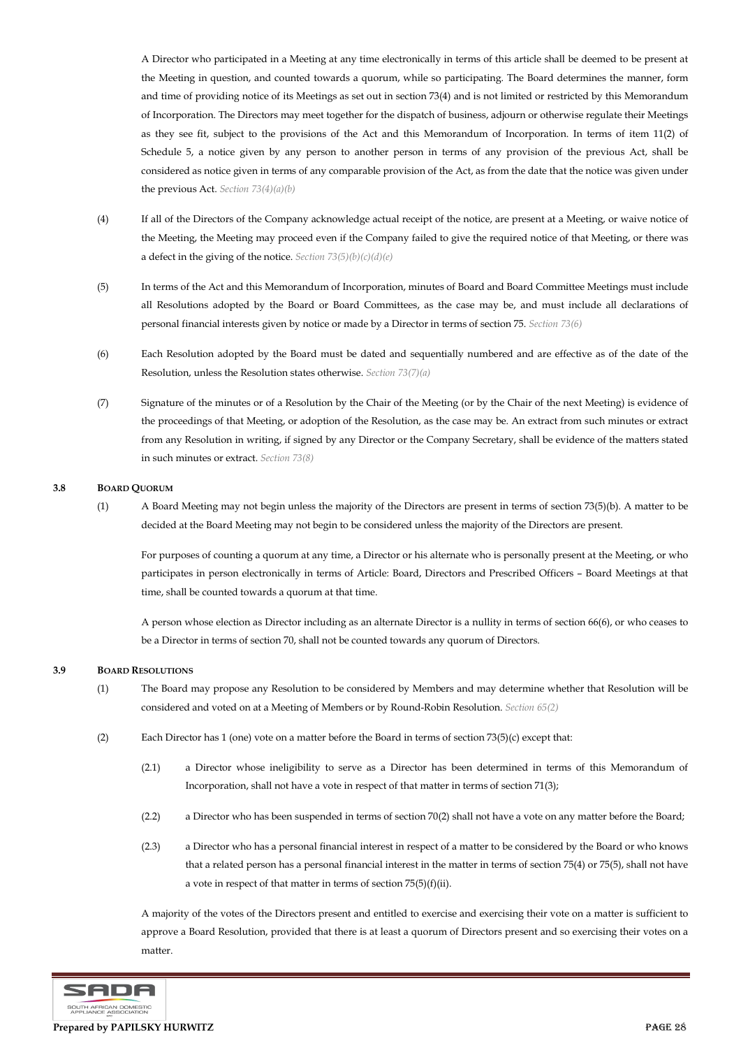A Director who participated in a Meeting at any time electronically in terms of this article shall be deemed to be present at the Meeting in question, and counted towards a quorum, while so participating. The Board determines the manner, form and time of providing notice of its Meetings as set out in section 73(4) and is not limited or restricted by this Memorandum of Incorporation. The Directors may meet together for the dispatch of business, adjourn or otherwise regulate their Meetings as they see fit, subject to the provisions of the Act and this Memorandum of Incorporation. In terms of item 11(2) of Schedule 5, a notice given by any person to another person in terms of any provision of the previous Act, shall be considered as notice given in terms of any comparable provision of the Act, as from the date that the notice was given under the previous Act. *Section 73(4)(a)(b)*

- (4) If all of the Directors of the Company acknowledge actual receipt of the notice, are present at a Meeting, or waive notice of the Meeting, the Meeting may proceed even if the Company failed to give the required notice of that Meeting, or there was a defect in the giving of the notice. *Section 73(5)(b)(c)(d)(e)*
- (5) In terms of the Act and this Memorandum of Incorporation, minutes of Board and Board Committee Meetings must include all Resolutions adopted by the Board or Board Committees, as the case may be, and must include all declarations of personal financial interests given by notice or made by a Director in terms of section 75. *Section 73(6)*
- (6) Each Resolution adopted by the Board must be dated and sequentially numbered and are effective as of the date of the Resolution, unless the Resolution states otherwise. *Section 73(7)(a)*
- (7) Signature of the minutes or of a Resolution by the Chair of the Meeting (or by the Chair of the next Meeting) is evidence of the proceedings of that Meeting, or adoption of the Resolution, as the case may be. An extract from such minutes or extract from any Resolution in writing, if signed by any Director or the Company Secretary, shall be evidence of the matters stated in such minutes or extract. *Section 73(8)*

### 3.8 BOARD QUORUM

(1) A Board Meeting may not begin unless the majority of the Directors are present in terms of section 73(5)(b). A matter to be decided at the Board Meeting may not begin to be considered unless the majority of the Directors are present.

For purposes of counting a quorum at any time, a Director or his alternate who is personally present at the Meeting, or who participates in person electronically in terms of Article: Board, Directors and Prescribed Officers – Board Meetings at that time, shall be counted towards a quorum at that time.

A person whose election as Director including as an alternate Director is a nullity in terms of section 66(6), or who ceases to be a Director in terms of section 70, shall not be counted towards any quorum of Directors.

#### 3.9 BOARD RESOLUTIONS

- (1) The Board may propose any Resolution to be considered by Members and may determine whether that Resolution will be considered and voted on at a Meeting of Members or by Round-Robin Resolution. *Section 65(2)*
- (2) Each Director has 1 (one) vote on a matter before the Board in terms of section 73(5)(c) except that:
	- (2.1) a Director whose ineligibility to serve as a Director has been determined in terms of this Memorandum of Incorporation, shall not have a vote in respect of that matter in terms of section 71(3);
	- (2.2) a Director who has been suspended in terms of section 70(2) shall not have a vote on any matter before the Board;
	- (2.3) a Director who has a personal financial interest in respect of a matter to be considered by the Board or who knows that a related person has a personal financial interest in the matter in terms of section 75(4) or 75(5), shall not have a vote in respect of that matter in terms of section  $75(5)(f)(ii)$ .

A majority of the votes of the Directors present and entitled to exercise and exercising their vote on a matter is sufficient to approve a Board Resolution, provided that there is at least a quorum of Directors present and so exercising their votes on a matter.

![](_page_28_Picture_16.jpeg)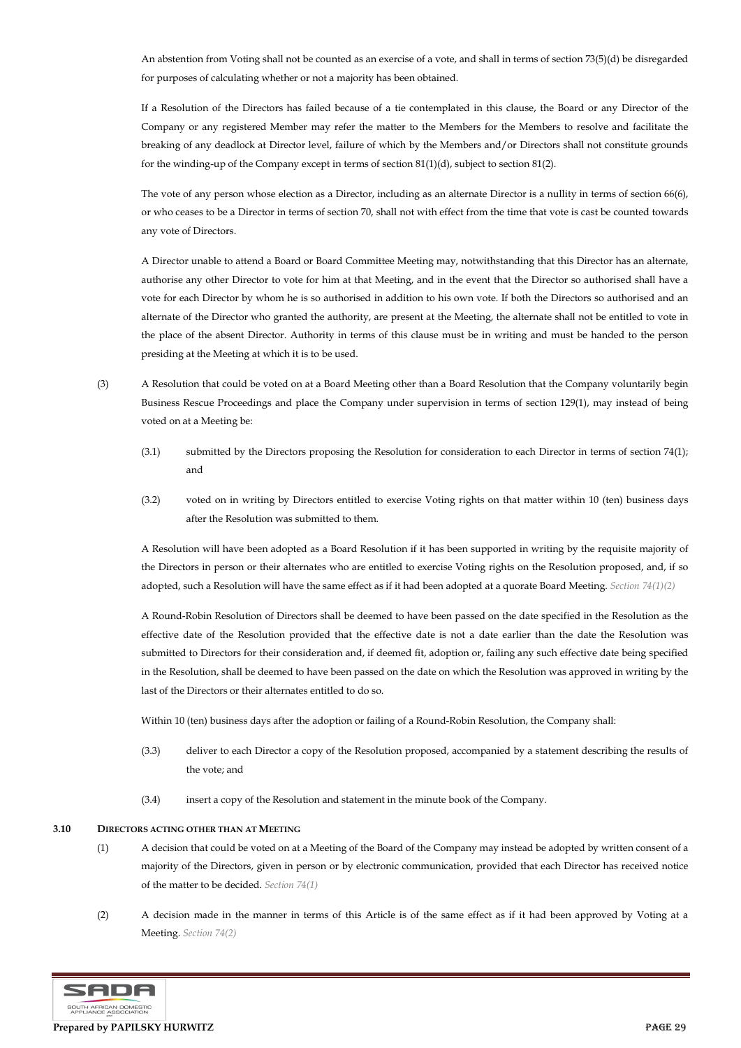An abstention from Voting shall not be counted as an exercise of a vote, and shall in terms of section 73(5)(d) be disregarded for purposes of calculating whether or not a majority has been obtained.

If a Resolution of the Directors has failed because of a tie contemplated in this clause, the Board or any Director of the Company or any registered Member may refer the matter to the Members for the Members to resolve and facilitate the breaking of any deadlock at Director level, failure of which by the Members and/or Directors shall not constitute grounds for the winding-up of the Company except in terms of section 81(1)(d), subject to section 81(2).

The vote of any person whose election as a Director, including as an alternate Director is a nullity in terms of section 66(6), or who ceases to be a Director in terms of section 70, shall not with effect from the time that vote is cast be counted towards any vote of Directors.

A Director unable to attend a Board or Board Committee Meeting may, notwithstanding that this Director has an alternate, authorise any other Director to vote for him at that Meeting, and in the event that the Director so authorised shall have a vote for each Director by whom he is so authorised in addition to his own vote. If both the Directors so authorised and an alternate of the Director who granted the authority, are present at the Meeting, the alternate shall not be entitled to vote in the place of the absent Director. Authority in terms of this clause must be in writing and must be handed to the person presiding at the Meeting at which it is to be used.

- (3) A Resolution that could be voted on at a Board Meeting other than a Board Resolution that the Company voluntarily begin Business Rescue Proceedings and place the Company under supervision in terms of section 129(1), may instead of being voted on at a Meeting be:
	- (3.1) submitted by the Directors proposing the Resolution for consideration to each Director in terms of section 74(1); and
	- (3.2) voted on in writing by Directors entitled to exercise Voting rights on that matter within 10 (ten) business days after the Resolution was submitted to them.

A Resolution will have been adopted as a Board Resolution if it has been supported in writing by the requisite majority of the Directors in person or their alternates who are entitled to exercise Voting rights on the Resolution proposed, and, if so adopted, such a Resolution will have the same effect as if it had been adopted at a quorate Board Meeting. *Section 74(1)(2)*

A Round-Robin Resolution of Directors shall be deemed to have been passed on the date specified in the Resolution as the effective date of the Resolution provided that the effective date is not a date earlier than the date the Resolution was submitted to Directors for their consideration and, if deemed fit, adoption or, failing any such effective date being specified in the Resolution, shall be deemed to have been passed on the date on which the Resolution was approved in writing by the last of the Directors or their alternates entitled to do so.

Within 10 (ten) business days after the adoption or failing of a Round-Robin Resolution, the Company shall:

- (3.3) deliver to each Director a copy of the Resolution proposed, accompanied by a statement describing the results of the vote; and
- (3.4) insert a copy of the Resolution and statement in the minute book of the Company.

# 3.10 DIRECTORS ACTING OTHER THAN AT MEETING

- (1) A decision that could be voted on at a Meeting of the Board of the Company may instead be adopted by written consent of a majority of the Directors, given in person or by electronic communication, provided that each Director has received notice of the matter to be decided. *Section 74(1)*
- (2) A decision made in the manner in terms of this Article is of the same effect as if it had been approved by Voting at a Meeting. *Section 74(2)*

![](_page_29_Picture_15.jpeg)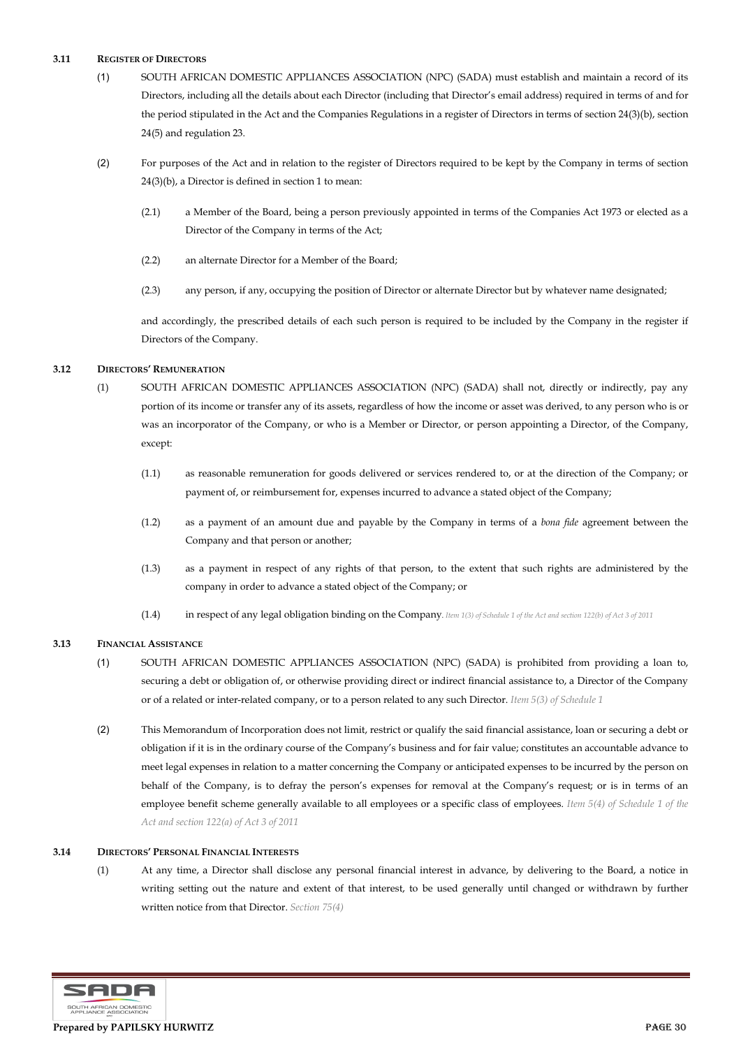# 3.11 REGISTER OF DIRECTORS

- (1) SOUTH AFRICAN DOMESTIC APPLIANCES ASSOCIATION (NPC) (SADA) must establish and maintain a record of its Directors, including all the details about each Director (including that Director's email address) required in terms of and for the period stipulated in the Act and the Companies Regulations in a register of Directors in terms of section 24(3)(b), section 24(5) and regulation 23.
- (2) For purposes of the Act and in relation to the register of Directors required to be kept by the Company in terms of section 24(3)(b), a Director is defined in section 1 to mean:
	- (2.1) a Member of the Board, being a person previously appointed in terms of the Companies Act 1973 or elected as a Director of the Company in terms of the Act;
	- (2.2) an alternate Director for a Member of the Board;
	- (2.3) any person, if any, occupying the position of Director or alternate Director but by whatever name designated;

and accordingly, the prescribed details of each such person is required to be included by the Company in the register if Directors of the Company.

### 3.12 DIRECTORS' REMUNERATION

- (1) SOUTH AFRICAN DOMESTIC APPLIANCES ASSOCIATION (NPC) (SADA) shall not, directly or indirectly, pay any portion of its income or transfer any of its assets, regardless of how the income or asset was derived, to any person who is or was an incorporator of the Company, or who is a Member or Director, or person appointing a Director, of the Company, except:
	- (1.1) as reasonable remuneration for goods delivered or services rendered to, or at the direction of the Company; or payment of, or reimbursement for, expenses incurred to advance a stated object of the Company;
	- (1.2) as a payment of an amount due and payable by the Company in terms of a *bona fide* agreement between the Company and that person or another;
	- (1.3) as a payment in respect of any rights of that person, to the extent that such rights are administered by the company in order to advance a stated object of the Company; or
	- (1.4) in respect of any legal obligation binding on the Company. *Item 1(3) of Schedule 1 of the Act and section 122(b) of Act 3 of 2011*

### 3.13 FINANCIAL ASSISTANCE

- (1) SOUTH AFRICAN DOMESTIC APPLIANCES ASSOCIATION (NPC) (SADA) is prohibited from providing a loan to, securing a debt or obligation of, or otherwise providing direct or indirect financial assistance to, a Director of the Company or of a related or inter-related company, or to a person related to any such Director. *Item 5(3) of Schedule 1*
- (2) This Memorandum of Incorporation does not limit, restrict or qualify the said financial assistance, loan or securing a debt or obligation if it is in the ordinary course of the Company's business and for fair value; constitutes an accountable advance to meet legal expenses in relation to a matter concerning the Company or anticipated expenses to be incurred by the person on behalf of the Company, is to defray the person's expenses for removal at the Company's request; or is in terms of an employee benefit scheme generally available to all employees or a specific class of employees. *Item 5(4) of Schedule 1 of the Act and section 122(a) of Act 3 of 2011*

# 3.14 DIRECTORS' PERSONAL FINANCIAL INTERESTS

(1) At any time, a Director shall disclose any personal financial interest in advance, by delivering to the Board, a notice in writing setting out the nature and extent of that interest, to be used generally until changed or withdrawn by further written notice from that Director. *Section 75(4)*

![](_page_30_Picture_18.jpeg)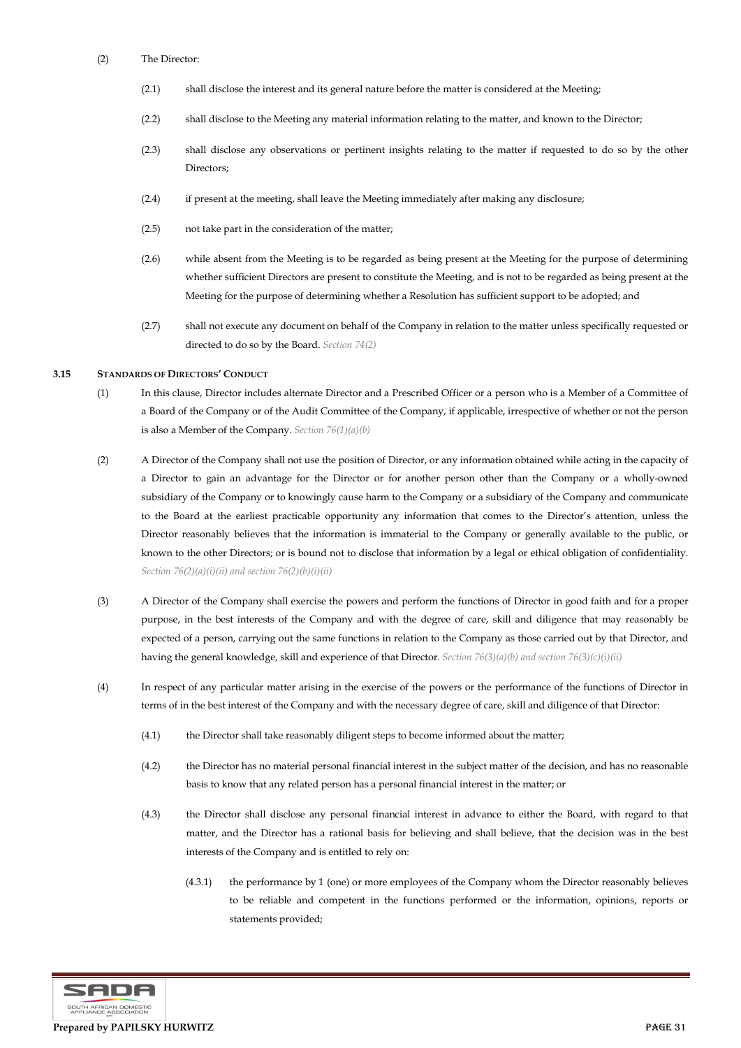- (2) The Director:
	- (2.1) shall disclose the interest and its general nature before the matter is considered at the Meeting;
	- (2.2) shall disclose to the Meeting any material information relating to the matter, and known to the Director;
	- (2.3) shall disclose any observations or pertinent insights relating to the matter if requested to do so by the other Directors;
	- (2.4) if present at the meeting, shall leave the Meeting immediately after making any disclosure;
	- (2.5) not take part in the consideration of the matter;
	- (2.6) while absent from the Meeting is to be regarded as being present at the Meeting for the purpose of determining whether sufficient Directors are present to constitute the Meeting, and is not to be regarded as being present at the Meeting for the purpose of determining whether a Resolution has sufficient support to be adopted; and
	- (2.7) shall not execute any document on behalf of the Company in relation to the matter unless specifically requested or directed to do so by the Board. *Section 74(2)*

# 3.15 STANDARDS OF DIRECTORS' CONDUCT

- (1) In this clause, Director includes alternate Director and a Prescribed Officer or a person who is a Member of a Committee of a Board of the Company or of the Audit Committee of the Company, if applicable, irrespective of whether or not the person is also a Member of the Company. *Section 76(1)(a)(b)*
- (2) A Director of the Company shall not use the position of Director, or any information obtained while acting in the capacity of a Director to gain an advantage for the Director or for another person other than the Company or a wholly-owned subsidiary of the Company or to knowingly cause harm to the Company or a subsidiary of the Company and communicate to the Board at the earliest practicable opportunity any information that comes to the Director's attention, unless the Director reasonably believes that the information is immaterial to the Company or generally available to the public, or known to the other Directors; or is bound not to disclose that information by a legal or ethical obligation of confidentiality. *Section 76(2)(a)(i)(ii) and section 76(2)(b)(i)(ii)*
- (3) A Director of the Company shall exercise the powers and perform the functions of Director in good faith and for a proper purpose, in the best interests of the Company and with the degree of care, skill and diligence that may reasonably be expected of a person, carrying out the same functions in relation to the Company as those carried out by that Director, and having the general knowledge, skill and experience of that Director. *Section 76(3)(a)(b) and section 76(3)(c)(i)(ii)*
- (4) In respect of any particular matter arising in the exercise of the powers or the performance of the functions of Director in terms of in the best interest of the Company and with the necessary degree of care, skill and diligence of that Director:
	- (4.1) the Director shall take reasonably diligent steps to become informed about the matter;
	- (4.2) the Director has no material personal financial interest in the subject matter of the decision, and has no reasonable basis to know that any related person has a personal financial interest in the matter; or
	- (4.3) the Director shall disclose any personal financial interest in advance to either the Board, with regard to that matter, and the Director has a rational basis for believing and shall believe, that the decision was in the best interests of the Company and is entitled to rely on:
		- (4.3.1) the performance by 1 (one) or more employees of the Company whom the Director reasonably believes to be reliable and competent in the functions performed or the information, opinions, reports or statements provided;

![](_page_31_Picture_17.jpeg)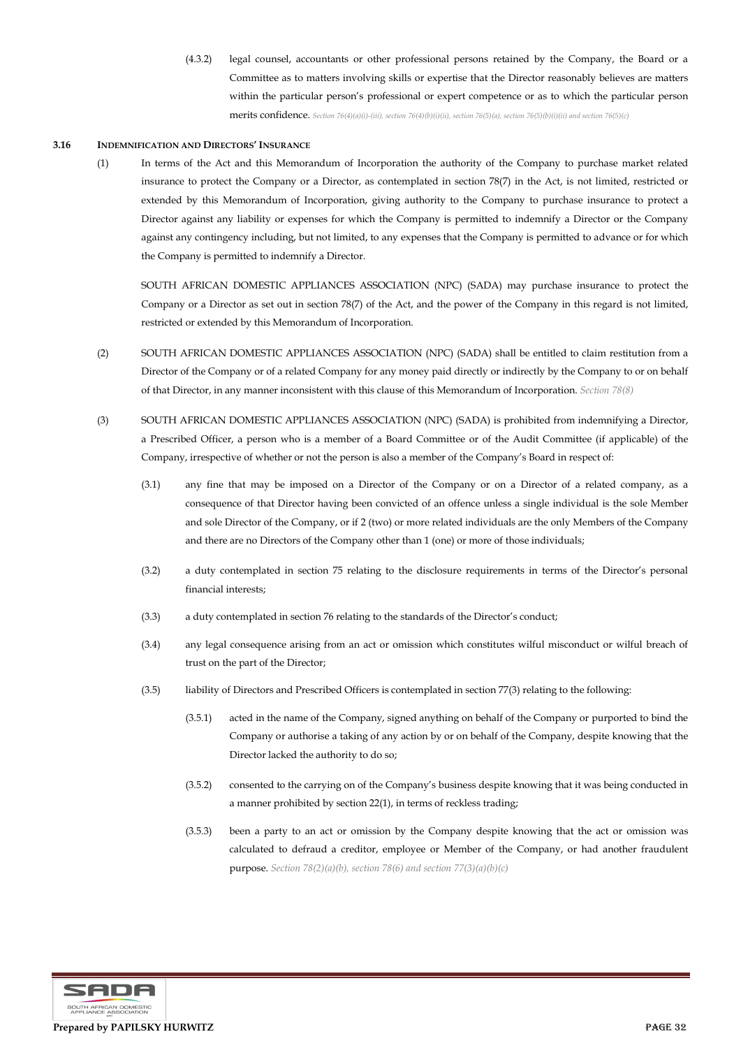(4.3.2) legal counsel, accountants or other professional persons retained by the Company, the Board or a Committee as to matters involving skills or expertise that the Director reasonably believes are matters within the particular person's professional or expert competence or as to which the particular person merits confidence. *Section 76(4)(a)(i)-(iii), section 76(4)(b)(i)(ii), section 76(5)(a), section 76(5)(b)(i)(ii) and section 76(5)(c)*

### 3.16 INDEMNIFICATION AND DIRECTORS' INSURANCE

(1) In terms of the Act and this Memorandum of Incorporation the authority of the Company to purchase market related insurance to protect the Company or a Director, as contemplated in section 78(7) in the Act, is not limited, restricted or extended by this Memorandum of Incorporation, giving authority to the Company to purchase insurance to protect a Director against any liability or expenses for which the Company is permitted to indemnify a Director or the Company against any contingency including, but not limited, to any expenses that the Company is permitted to advance or for which the Company is permitted to indemnify a Director.

SOUTH AFRICAN DOMESTIC APPLIANCES ASSOCIATION (NPC) (SADA) may purchase insurance to protect the Company or a Director as set out in section 78(7) of the Act, and the power of the Company in this regard is not limited, restricted or extended by this Memorandum of Incorporation.

- (2) SOUTH AFRICAN DOMESTIC APPLIANCES ASSOCIATION (NPC) (SADA) shall be entitled to claim restitution from a Director of the Company or of a related Company for any money paid directly or indirectly by the Company to or on behalf of that Director, in any manner inconsistent with this clause of this Memorandum of Incorporation. *Section 78(8)*
- (3) SOUTH AFRICAN DOMESTIC APPLIANCES ASSOCIATION (NPC) (SADA) is prohibited from indemnifying a Director, a Prescribed Officer, a person who is a member of a Board Committee or of the Audit Committee (if applicable) of the Company, irrespective of whether or not the person is also a member of the Company's Board in respect of:
	- (3.1) any fine that may be imposed on a Director of the Company or on a Director of a related company, as a consequence of that Director having been convicted of an offence unless a single individual is the sole Member and sole Director of the Company, or if 2 (two) or more related individuals are the only Members of the Company and there are no Directors of the Company other than 1 (one) or more of those individuals;
	- (3.2) a duty contemplated in section 75 relating to the disclosure requirements in terms of the Director's personal financial interests;
	- (3.3) a duty contemplated in section 76 relating to the standards of the Director's conduct;
	- (3.4) any legal consequence arising from an act or omission which constitutes wilful misconduct or wilful breach of trust on the part of the Director;
	- (3.5) liability of Directors and Prescribed Officers is contemplated in section 77(3) relating to the following:
		- (3.5.1) acted in the name of the Company, signed anything on behalf of the Company or purported to bind the Company or authorise a taking of any action by or on behalf of the Company, despite knowing that the Director lacked the authority to do so;
		- (3.5.2) consented to the carrying on of the Company's business despite knowing that it was being conducted in a manner prohibited by section 22(1), in terms of reckless trading;
		- (3.5.3) been a party to an act or omission by the Company despite knowing that the act or omission was calculated to defraud a creditor, employee or Member of the Company, or had another fraudulent **purpose.** *Section 78(2)(a)(b), section 78(6) and section 77(3)(a)(b)(c)*

![](_page_32_Picture_14.jpeg)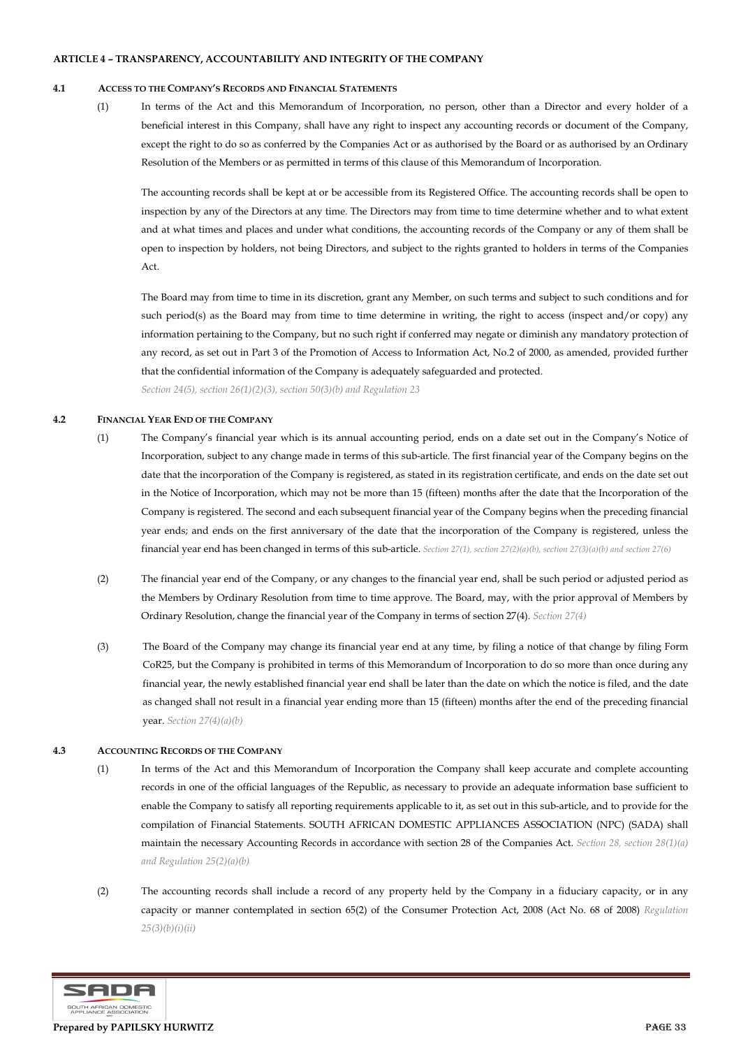#### ARTICLE 4 – TRANSPARENCY, ACCOUNTABILITY AND INTEGRITY OF THE COMPANY

### 4.1 ACCESS TO THE COMPANY'S RECORDS AND FINANCIAL STATEMENTS

(1) In terms of the Act and this Memorandum of Incorporation, no person, other than a Director and every holder of a beneficial interest in this Company, shall have any right to inspect any accounting records or document of the Company, except the right to do so as conferred by the Companies Act or as authorised by the Board or as authorised by an Ordinary Resolution of the Members or as permitted in terms of this clause of this Memorandum of Incorporation.

The accounting records shall be kept at or be accessible from its Registered Office. The accounting records shall be open to inspection by any of the Directors at any time. The Directors may from time to time determine whether and to what extent and at what times and places and under what conditions, the accounting records of the Company or any of them shall be open to inspection by holders, not being Directors, and subject to the rights granted to holders in terms of the Companies Act.

The Board may from time to time in its discretion, grant any Member, on such terms and subject to such conditions and for such period(s) as the Board may from time to time determine in writing, the right to access (inspect and/or copy) any information pertaining to the Company, but no such right if conferred may negate or diminish any mandatory protection of any record, as set out in Part 3 of the Promotion of Access to Information Act, No.2 of 2000, as amended, provided further that the confidential information of the Company is adequately safeguarded and protected.

*Section 24(5), section 26(1)(2)(3), section 50(3)(b) and Regulation 23*

# 4.2 FINANCIAL YEAR END OF THE COMPANY

- (1) The Company's financial year which is its annual accounting period, ends on a date set out in the Company's Notice of Incorporation, subject to any change made in terms of this sub-article. The first financial year of the Company begins on the date that the incorporation of the Company is registered, as stated in its registration certificate, and ends on the date set out in the Notice of Incorporation, which may not be more than 15 (fifteen) months after the date that the Incorporation of the Company is registered. The second and each subsequent financial year of the Company begins when the preceding financial year ends; and ends on the first anniversary of the date that the incorporation of the Company is registered, unless the financial year end has been changed in terms of this sub-article. *Section 27(1), section 27(2)(a)(b), section 27(3)(a)(b) and section 27(6)*
- (2) The financial year end of the Company, or any changes to the financial year end, shall be such period or adjusted period as the Members by Ordinary Resolution from time to time approve. The Board, may, with the prior approval of Members by Ordinary Resolution, change the financial year of the Company in terms of section 27(4). *Section 27(4)*
- (3) The Board of the Company may change its financial year end at any time, by filing a notice of that change by filing Form CoR25, but the Company is prohibited in terms of this Memorandum of Incorporation to do so more than once during any financial year, the newly established financial year end shall be later than the date on which the notice is filed, and the date as changed shall not result in a financial year ending more than 15 (fifteen) months after the end of the preceding financial year. *Section 27(4)(a)(b)*

#### 4.3 ACCOUNTING RECORDS OF THE COMPANY

- (1) In terms of the Act and this Memorandum of Incorporation the Company shall keep accurate and complete accounting records in one of the official languages of the Republic, as necessary to provide an adequate information base sufficient to enable the Company to satisfy all reporting requirements applicable to it, as set out in this sub-article, and to provide for the compilation of Financial Statements. SOUTH AFRICAN DOMESTIC APPLIANCES ASSOCIATION (NPC) (SADA) shall maintain the necessary Accounting Records in accordance with section 28 of the Companies Act. *Section 28, section 28(1)(a) and Regulation 25(2)(a)(b)*
- (2) The accounting records shall include a record of any property held by the Company in a fiduciary capacity, or in any capacity or manner contemplated in section 65(2) of the Consumer Protection Act, 2008 (Act No. 68 of 2008) *Regulation 25(3)(b)(i)(ii)*

![](_page_33_Picture_13.jpeg)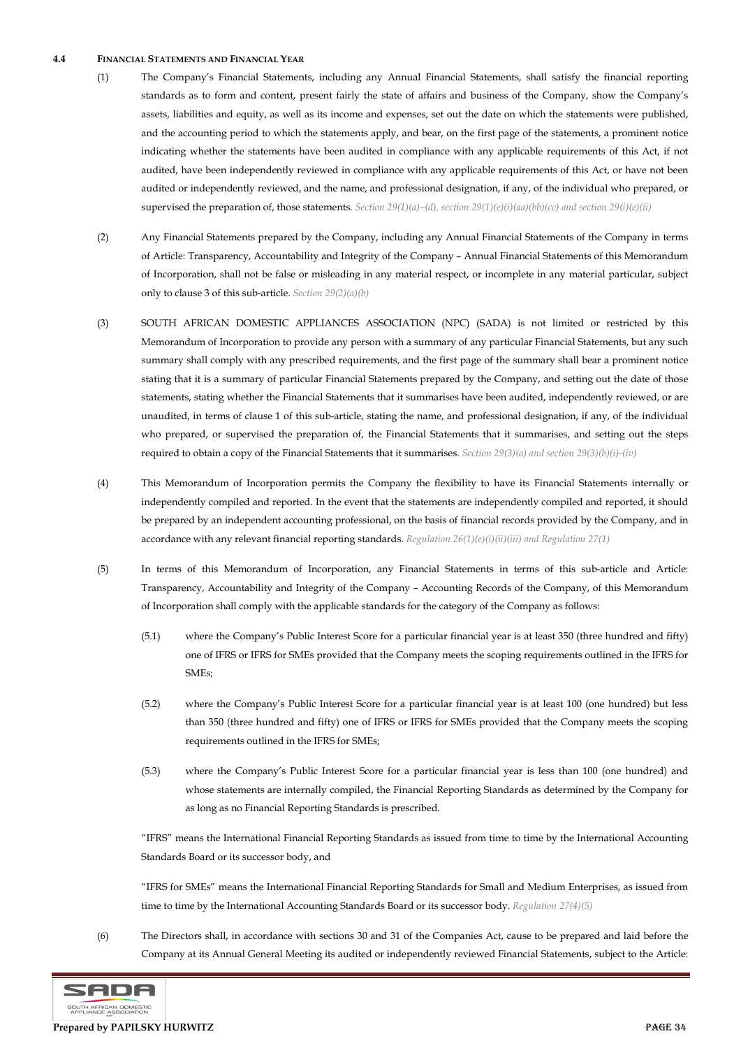#### 4.4 FINANCIAL STATEMENTS AND FINANCIAL YEAR

- (1) The Company's Financial Statements, including any Annual Financial Statements, shall satisfy the financial reporting standards as to form and content, present fairly the state of affairs and business of the Company, show the Company's assets, liabilities and equity, as well as its income and expenses, set out the date on which the statements were published, and the accounting period to which the statements apply, and bear, on the first page of the statements, a prominent notice indicating whether the statements have been audited in compliance with any applicable requirements of this Act, if not audited, have been independently reviewed in compliance with any applicable requirements of this Act, or have not been audited or independently reviewed, and the name, and professional designation, if any, of the individual who prepared, or supervised the preparation of, those statements. *Section 29(1)(a)–(d), section 29(1)(e)(i)(aa)(bb)(cc) and section 29(i)(e)(ii)*
- (2) Any Financial Statements prepared by the Company, including any Annual Financial Statements of the Company in terms of Article: Transparency, Accountability and Integrity of the Company – Annual Financial Statements of this Memorandum of Incorporation, shall not be false or misleading in any material respect, or incomplete in any material particular, subject only to clause 3 of this sub-article. *Section 29(2)(a)(b)*
- (3) SOUTH AFRICAN DOMESTIC APPLIANCES ASSOCIATION (NPC) (SADA) is not limited or restricted by this Memorandum of Incorporation to provide any person with a summary of any particular Financial Statements, but any such summary shall comply with any prescribed requirements, and the first page of the summary shall bear a prominent notice stating that it is a summary of particular Financial Statements prepared by the Company, and setting out the date of those statements, stating whether the Financial Statements that it summarises have been audited, independently reviewed, or are unaudited, in terms of clause 1 of this sub-article, stating the name, and professional designation, if any, of the individual who prepared, or supervised the preparation of, the Financial Statements that it summarises, and setting out the steps required to obtain a copy of the Financial Statements that it summarises. *Section 29(3)(a) and section 29(3)(b)(i)-(iv)*
- (4) This Memorandum of Incorporation permits the Company the flexibility to have its Financial Statements internally or independently compiled and reported. In the event that the statements are independently compiled and reported, it should be prepared by an independent accounting professional, on the basis of financial records provided by the Company, and in accordance with any relevant financial reporting standards. *Regulation 26(1)(e)(i)(ii)(iii) and Regulation 27(1)*
- (5) In terms of this Memorandum of Incorporation, any Financial Statements in terms of this sub-article and Article: Transparency, Accountability and Integrity of the Company – Accounting Records of the Company, of this Memorandum of Incorporation shall comply with the applicable standards for the category of the Company as follows:
	- (5.1) where the Company's Public Interest Score for a particular financial year is at least 350 (three hundred and fifty) one of IFRS or IFRS for SMEs provided that the Company meets the scoping requirements outlined in the IFRS for SMEs;
	- (5.2) where the Company's Public Interest Score for a particular financial year is at least 100 (one hundred) but less than 350 (three hundred and fifty) one of IFRS or IFRS for SMEs provided that the Company meets the scoping requirements outlined in the IFRS for SMEs;
	- (5.3) where the Company's Public Interest Score for a particular financial year is less than 100 (one hundred) and whose statements are internally compiled, the Financial Reporting Standards as determined by the Company for as long as no Financial Reporting Standards is prescribed.

"IFRS" means the International Financial Reporting Standards as issued from time to time by the International Accounting Standards Board or its successor body, and

"IFRS for SMEs" means the International Financial Reporting Standards for Small and Medium Enterprises, as issued from time to time by the International Accounting Standards Board or its successor body. *Regulation 27(4)(5)*

(6) The Directors shall, in accordance with sections 30 and 31 of the Companies Act, cause to be prepared and laid before the Company at its Annual General Meeting its audited or independently reviewed Financial Statements, subject to the Article:

![](_page_34_Picture_12.jpeg)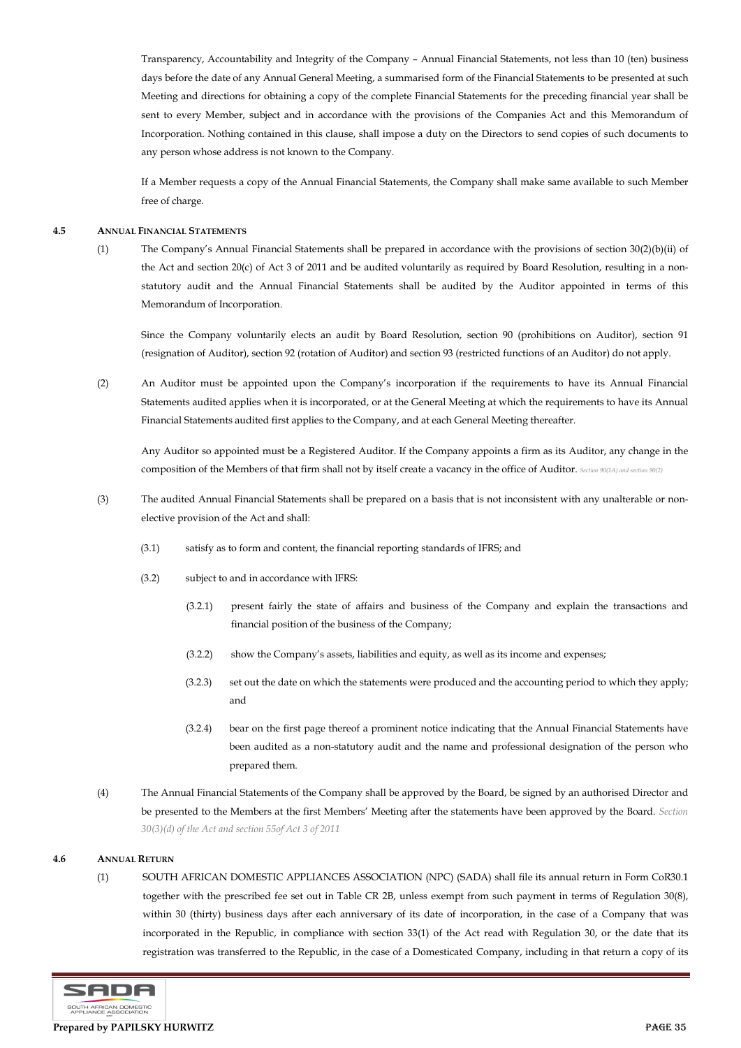Transparency, Accountability and Integrity of the Company – Annual Financial Statements, not less than 10 (ten) business days before the date of any Annual General Meeting, a summarised form of the Financial Statements to be presented at such Meeting and directions for obtaining a copy of the complete Financial Statements for the preceding financial year shall be sent to every Member, subject and in accordance with the provisions of the Companies Act and this Memorandum of Incorporation. Nothing contained in this clause, shall impose a duty on the Directors to send copies of such documents to any person whose address is not known to the Company.

If a Member requests a copy of the Annual Financial Statements, the Company shall make same available to such Member free of charge.

# 4.5 ANNUAL FINANCIAL STATEMENTS

(1) The Company's Annual Financial Statements shall be prepared in accordance with the provisions of section 30(2)(b)(ii) of the Act and section 20(c) of Act 3 of 2011 and be audited voluntarily as required by Board Resolution, resulting in a nonstatutory audit and the Annual Financial Statements shall be audited by the Auditor appointed in terms of this Memorandum of Incorporation.

Since the Company voluntarily elects an audit by Board Resolution, section 90 (prohibitions on Auditor), section 91 (resignation of Auditor), section 92 (rotation of Auditor) and section 93 (restricted functions of an Auditor) do not apply.

(2) An Auditor must be appointed upon the Company's incorporation if the requirements to have its Annual Financial Statements audited applies when it is incorporated, or at the General Meeting at which the requirements to have its Annual Financial Statements audited first applies to the Company, and at each General Meeting thereafter.

Any Auditor so appointed must be a Registered Auditor. If the Company appoints a firm as its Auditor, any change in the composition of the Members of that firm shall not by itself create a vacancy in the office of Auditor. *Section 90(1A) and section 90(2)*

- (3) The audited Annual Financial Statements shall be prepared on a basis that is not inconsistent with any unalterable or nonelective provision of the Act and shall:
	- (3.1) satisfy as to form and content, the financial reporting standards of IFRS; and
	- (3.2) subject to and in accordance with IFRS:
		- (3.2.1) present fairly the state of affairs and business of the Company and explain the transactions and financial position of the business of the Company;
		- (3.2.2) show the Company's assets, liabilities and equity, as well as its income and expenses;
		- (3.2.3) set out the date on which the statements were produced and the accounting period to which they apply; and
		- (3.2.4) bear on the first page thereof a prominent notice indicating that the Annual Financial Statements have been audited as a non-statutory audit and the name and professional designation of the person who prepared them.
- (4) The Annual Financial Statements of the Company shall be approved by the Board, be signed by an authorised Director and be presented to the Members at the first Members' Meeting after the statements have been approved by the Board. *Section 30(3)(d) of the Act and section 55of Act 3 of 2011*

### 4.6 ANNUAL RETURN

(1) SOUTH AFRICAN DOMESTIC APPLIANCES ASSOCIATION (NPC) (SADA) shall file its annual return in Form CoR30.1 together with the prescribed fee set out in Table CR 2B, unless exempt from such payment in terms of Regulation 30(8), within 30 (thirty) business days after each anniversary of its date of incorporation, in the case of a Company that was incorporated in the Republic, in compliance with section 33(1) of the Act read with Regulation 30, or the date that its registration was transferred to the Republic, in the case of a Domesticated Company, including in that return a copy of its

![](_page_35_Picture_18.jpeg)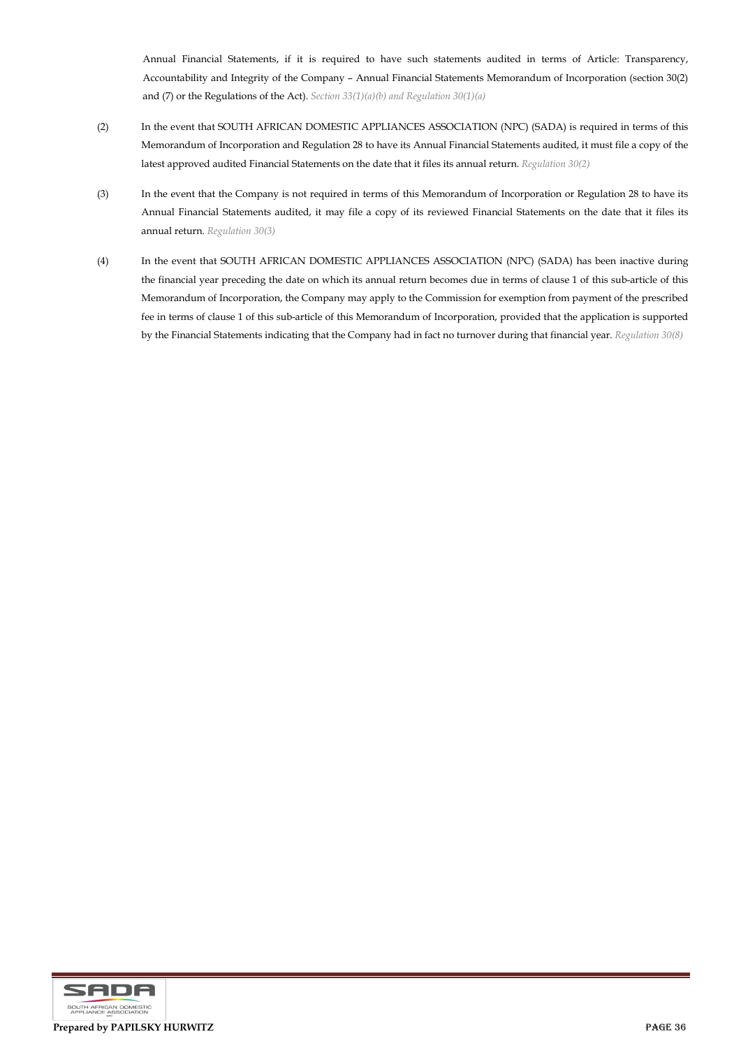Annual Financial Statements, if it is required to have such statements audited in terms of Article: Transparency, Accountability and Integrity of the Company – Annual Financial Statements Memorandum of Incorporation (section 30(2) and (7) or the Regulations of the Act). *Section 33(1)(a)(b) and Regulation 30(1)(a)*

- (2) In the event that SOUTH AFRICAN DOMESTIC APPLIANCES ASSOCIATION (NPC) (SADA) is required in terms of this Memorandum of Incorporation and Regulation 28 to have its Annual Financial Statements audited, it must file a copy of the latest approved audited Financial Statements on the date that it files its annual return. *Regulation 30(2)*
- (3) In the event that the Company is not required in terms of this Memorandum of Incorporation or Regulation 28 to have its Annual Financial Statements audited, it may file a copy of its reviewed Financial Statements on the date that it files its annual return. *Regulation 30(3)*
- (4) In the event that SOUTH AFRICAN DOMESTIC APPLIANCES ASSOCIATION (NPC) (SADA) has been inactive during the financial year preceding the date on which its annual return becomes due in terms of clause 1 of this sub-article of this Memorandum of Incorporation, the Company may apply to the Commission for exemption from payment of the prescribed fee in terms of clause 1 of this sub-article of this Memorandum of Incorporation, provided that the application is supported by the Financial Statements indicating that the Company had in fact no turnover during that financial year. *Regulation 30(8)*

![](_page_36_Picture_4.jpeg)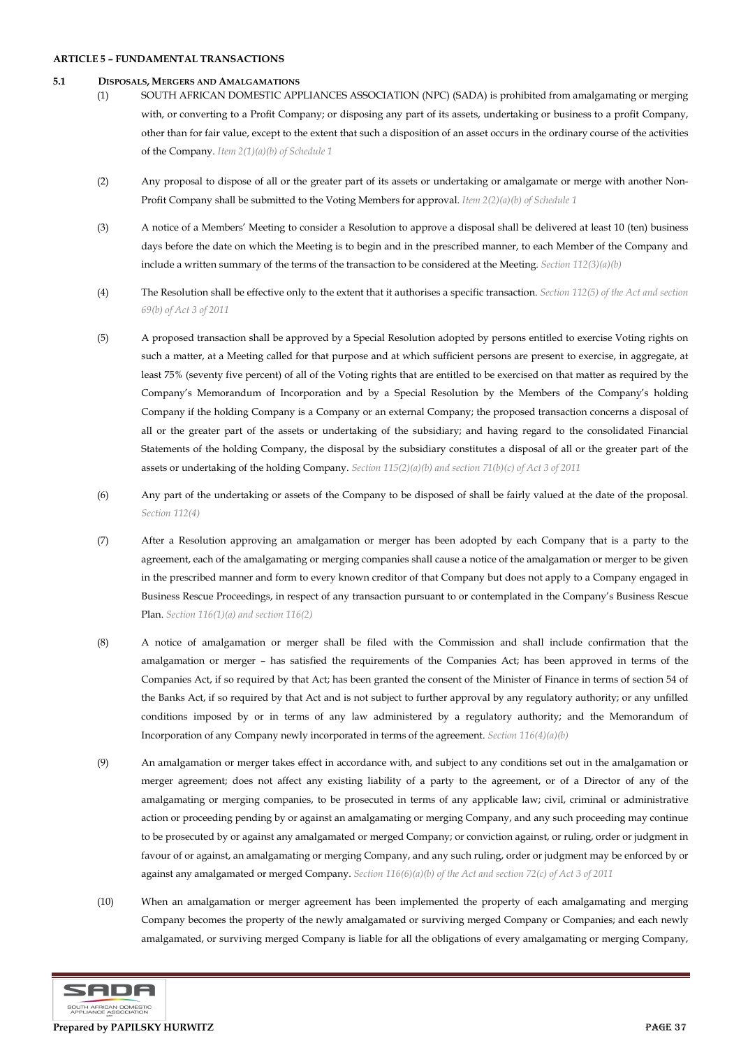#### ARTICLE 5 – FUNDAMENTAL TRANSACTIONS

#### 5.1 DISPOSALS, MERGERS AND AMALGAMATIONS

- (1) SOUTH AFRICAN DOMESTIC APPLIANCES ASSOCIATION (NPC) (SADA) is prohibited from amalgamating or merging with, or converting to a Profit Company; or disposing any part of its assets, undertaking or business to a profit Company, other than for fair value, except to the extent that such a disposition of an asset occurs in the ordinary course of the activities of the Company. *Item 2(1)(a)(b) of Schedule 1*
- (2) Any proposal to dispose of all or the greater part of its assets or undertaking or amalgamate or merge with another Non-Profit Company shall be submitted to the Voting Members for approval. *Item 2(2)(a)(b) of Schedule 1*
- (3) A notice of a Members' Meeting to consider a Resolution to approve a disposal shall be delivered at least 10 (ten) business days before the date on which the Meeting is to begin and in the prescribed manner, to each Member of the Company and include a written summary of the terms of the transaction to be considered at the Meeting. *Section 112(3)(a)(b)*
- (4) The Resolution shall be effective only to the extent that it authorises a specific transaction. *Section 112(5) of the Act and section 69(b) of Act 3 of 2011*
- (5) A proposed transaction shall be approved by a Special Resolution adopted by persons entitled to exercise Voting rights on such a matter, at a Meeting called for that purpose and at which sufficient persons are present to exercise, in aggregate, at least 75% (seventy five percent) of all of the Voting rights that are entitled to be exercised on that matter as required by the Company's Memorandum of Incorporation and by a Special Resolution by the Members of the Company's holding Company if the holding Company is a Company or an external Company; the proposed transaction concerns a disposal of all or the greater part of the assets or undertaking of the subsidiary; and having regard to the consolidated Financial Statements of the holding Company, the disposal by the subsidiary constitutes a disposal of all or the greater part of the assets or undertaking of the holding Company. *Section 115(2)(a)(b) and section 71(b)(c) of Act 3 of 2011*
- (6) Any part of the undertaking or assets of the Company to be disposed of shall be fairly valued at the date of the proposal. *Section 112(4)*
- (7) After a Resolution approving an amalgamation or merger has been adopted by each Company that is a party to the agreement, each of the amalgamating or merging companies shall cause a notice of the amalgamation or merger to be given in the prescribed manner and form to every known creditor of that Company but does not apply to a Company engaged in Business Rescue Proceedings, in respect of any transaction pursuant to or contemplated in the Company's Business Rescue Plan. *Section 116(1)(a) and section 116(2)*
- (8) A notice of amalgamation or merger shall be filed with the Commission and shall include confirmation that the amalgamation or merger – has satisfied the requirements of the Companies Act; has been approved in terms of the Companies Act, if so required by that Act; has been granted the consent of the Minister of Finance in terms of section 54 of the Banks Act, if so required by that Act and is not subject to further approval by any regulatory authority; or any unfilled conditions imposed by or in terms of any law administered by a regulatory authority; and the Memorandum of Incorporation of any Company newly incorporated in terms of the agreement. *Section 116(4)(a)(b)*
- (9) An amalgamation or merger takes effect in accordance with, and subject to any conditions set out in the amalgamation or merger agreement; does not affect any existing liability of a party to the agreement, or of a Director of any of the amalgamating or merging companies, to be prosecuted in terms of any applicable law; civil, criminal or administrative action or proceeding pending by or against an amalgamating or merging Company, and any such proceeding may continue to be prosecuted by or against any amalgamated or merged Company; or conviction against, or ruling, order or judgment in favour of or against, an amalgamating or merging Company, and any such ruling, order or judgment may be enforced by or against any amalgamated or merged Company. *Section 116(6)(a)(b) of the Act and section 72(c) of Act 3 of 2011*
- (10) When an amalgamation or merger agreement has been implemented the property of each amalgamating and merging Company becomes the property of the newly amalgamated or surviving merged Company or Companies; and each newly amalgamated, or surviving merged Company is liable for all the obligations of every amalgamating or merging Company,

![](_page_37_Picture_12.jpeg)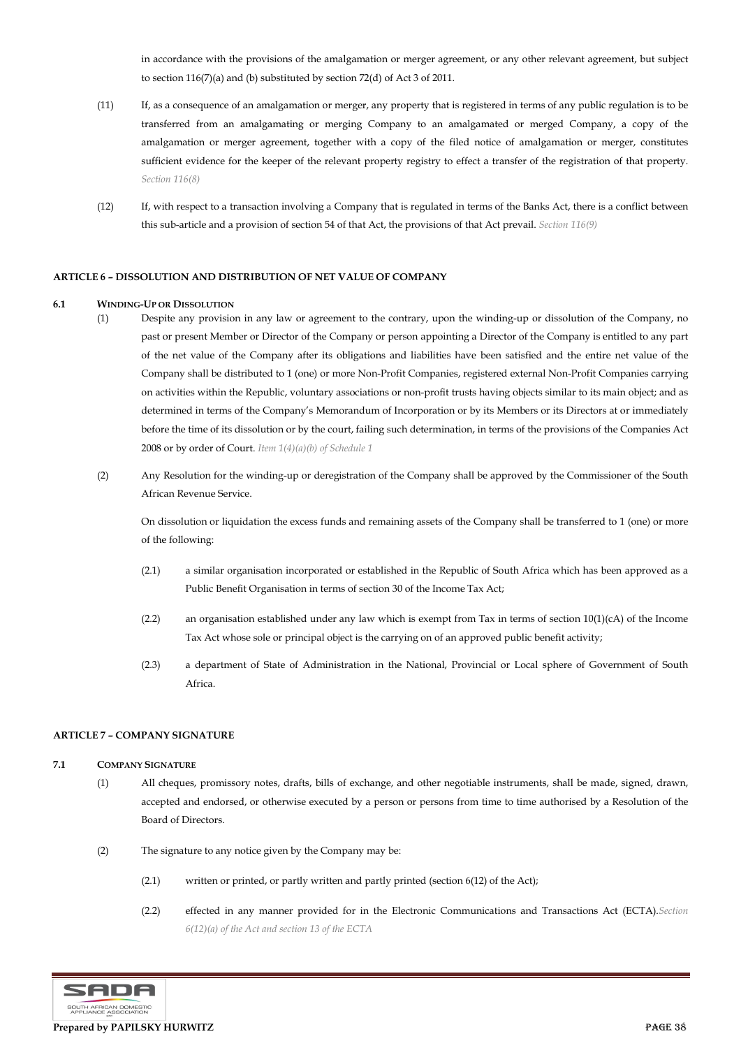in accordance with the provisions of the amalgamation or merger agreement, or any other relevant agreement, but subject to section 116(7)(a) and (b) substituted by section 72(d) of Act 3 of 2011.

- (11) If, as a consequence of an amalgamation or merger, any property that is registered in terms of any public regulation is to be transferred from an amalgamating or merging Company to an amalgamated or merged Company, a copy of the amalgamation or merger agreement, together with a copy of the filed notice of amalgamation or merger, constitutes sufficient evidence for the keeper of the relevant property registry to effect a transfer of the registration of that property. *Section 116(8)*
- (12) If, with respect to a transaction involving a Company that is regulated in terms of the Banks Act, there is a conflict between this sub-article and a provision of section 54 of that Act, the provisions of that Act prevail. *Section 116(9)*

### ARTICLE 6 – DISSOLUTION AND DISTRIBUTION OF NET VALUE OF COMPANY

#### 6.1 WINDING-UP OR DISSOLUTION

- (1) Despite any provision in any law or agreement to the contrary, upon the winding-up or dissolution of the Company, no past or present Member or Director of the Company or person appointing a Director of the Company is entitled to any part of the net value of the Company after its obligations and liabilities have been satisfied and the entire net value of the Company shall be distributed to 1 (one) or more Non-Profit Companies, registered external Non-Profit Companies carrying on activities within the Republic, voluntary associations or non-profit trusts having objects similar to its main object; and as determined in terms of the Company's Memorandum of Incorporation or by its Members or its Directors at or immediately before the time of its dissolution or by the court, failing such determination, in terms of the provisions of the Companies Act 2008 or by order of Court. *Item 1(4)(a)(b) of Schedule 1*
	- (2) Any Resolution for the winding-up or deregistration of the Company shall be approved by the Commissioner of the South African Revenue Service.

On dissolution or liquidation the excess funds and remaining assets of the Company shall be transferred to 1 (one) or more of the following:

- (2.1) a similar organisation incorporated or established in the Republic of South Africa which has been approved as a Public Benefit Organisation in terms of section 30 of the Income Tax Act;
- (2.2) an organisation established under any law which is exempt from Tax in terms of section 10(1)(cA) of the Income Tax Act whose sole or principal object is the carrying on of an approved public benefit activity;
- (2.3) a department of State of Administration in the National, Provincial or Local sphere of Government of South Africa.

### ARTICLE 7 – COMPANY SIGNATURE

#### 7.1 COMPANY SIGNATURE

- (1) All cheques, promissory notes, drafts, bills of exchange, and other negotiable instruments, shall be made, signed, drawn, accepted and endorsed, or otherwise executed by a person or persons from time to time authorised by a Resolution of the Board of Directors.
- (2) The signature to any notice given by the Company may be:
	- (2.1) written or printed, or partly written and partly printed (section 6(12) of the Act);
	- (2.2) effected in any manner provided for in the Electronic Communications and Transactions Act (ECTA).*Section 6(12)(a) of the Act and section 13 of the ECTA*

![](_page_38_Picture_17.jpeg)